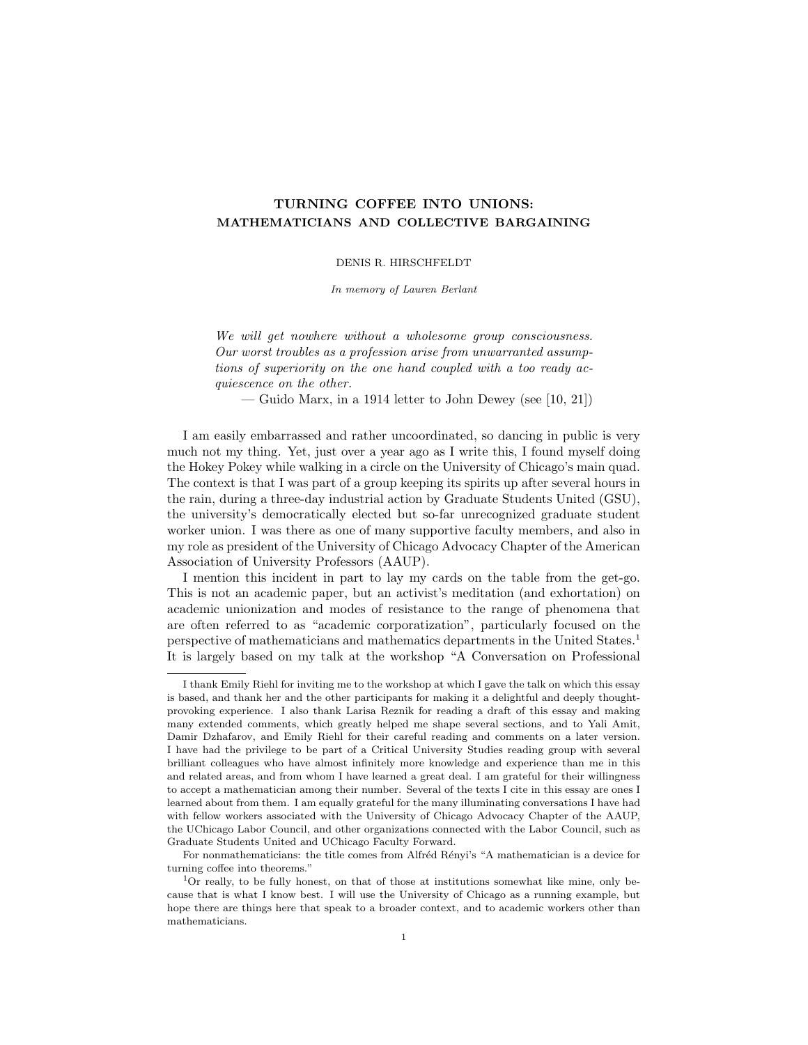# TURNING COFFEE INTO UNIONS: MATHEMATICIANS AND COLLECTIVE BARGAINING

# DENIS R. HIRSCHFELDT

In memory of Lauren Berlant

We will get nowhere without a wholesome group consciousness. Our worst troubles as a profession arise from unwarranted assumptions of superiority on the one hand coupled with a too ready acquiescence on the other.

— Guido Marx, in a 1914 letter to John Dewey (see [10, 21])

I am easily embarrassed and rather uncoordinated, so dancing in public is very much not my thing. Yet, just over a year ago as I write this, I found myself doing the Hokey Pokey while walking in a circle on the University of Chicago's main quad. The context is that I was part of a group keeping its spirits up after several hours in the rain, during a three-day industrial action by Graduate Students United (GSU), the university's democratically elected but so-far unrecognized graduate student worker union. I was there as one of many supportive faculty members, and also in my role as president of the University of Chicago Advocacy Chapter of the American Association of University Professors (AAUP).

I mention this incident in part to lay my cards on the table from the get-go. This is not an academic paper, but an activist's meditation (and exhortation) on academic unionization and modes of resistance to the range of phenomena that are often referred to as "academic corporatization", particularly focused on the perspective of mathematicians and mathematics departments in the United States.<sup>1</sup> It is largely based on my talk at the workshop "A Conversation on Professional

For nonmathematicians: the title comes from Alfréd Rényi's "A mathematician is a device for turning coffee into theorems."

I thank Emily Riehl for inviting me to the workshop at which I gave the talk on which this essay is based, and thank her and the other participants for making it a delightful and deeply thoughtprovoking experience. I also thank Larisa Reznik for reading a draft of this essay and making many extended comments, which greatly helped me shape several sections, and to Yali Amit, Damir Dzhafarov, and Emily Riehl for their careful reading and comments on a later version. I have had the privilege to be part of a Critical University Studies reading group with several brilliant colleagues who have almost infinitely more knowledge and experience than me in this and related areas, and from whom I have learned a great deal. I am grateful for their willingness to accept a mathematician among their number. Several of the texts I cite in this essay are ones I learned about from them. I am equally grateful for the many illuminating conversations I have had with fellow workers associated with the University of Chicago Advocacy Chapter of the AAUP, the UChicago Labor Council, and other organizations connected with the Labor Council, such as Graduate Students United and UChicago Faculty Forward.

<sup>&</sup>lt;sup>1</sup>Or really, to be fully honest, on that of those at institutions somewhat like mine, only because that is what I know best. I will use the University of Chicago as a running example, but hope there are things here that speak to a broader context, and to academic workers other than mathematicians.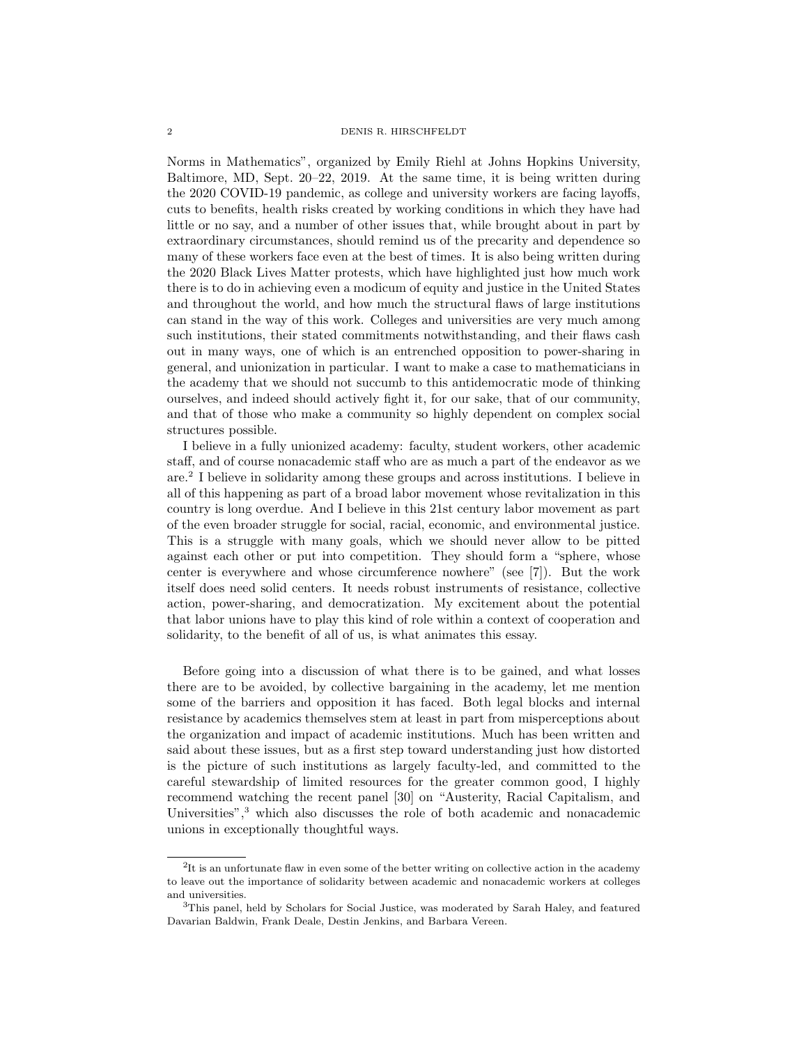Norms in Mathematics", organized by Emily Riehl at Johns Hopkins University, Baltimore, MD, Sept. 20–22, 2019. At the same time, it is being written during the 2020 COVID-19 pandemic, as college and university workers are facing layoffs, cuts to benefits, health risks created by working conditions in which they have had little or no say, and a number of other issues that, while brought about in part by extraordinary circumstances, should remind us of the precarity and dependence so many of these workers face even at the best of times. It is also being written during the 2020 Black Lives Matter protests, which have highlighted just how much work there is to do in achieving even a modicum of equity and justice in the United States and throughout the world, and how much the structural flaws of large institutions can stand in the way of this work. Colleges and universities are very much among such institutions, their stated commitments notwithstanding, and their flaws cash out in many ways, one of which is an entrenched opposition to power-sharing in general, and unionization in particular. I want to make a case to mathematicians in the academy that we should not succumb to this antidemocratic mode of thinking ourselves, and indeed should actively fight it, for our sake, that of our community, and that of those who make a community so highly dependent on complex social structures possible.

I believe in a fully unionized academy: faculty, student workers, other academic staff, and of course nonacademic staff who are as much a part of the endeavor as we are.<sup>2</sup> I believe in solidarity among these groups and across institutions. I believe in all of this happening as part of a broad labor movement whose revitalization in this country is long overdue. And I believe in this 21st century labor movement as part of the even broader struggle for social, racial, economic, and environmental justice. This is a struggle with many goals, which we should never allow to be pitted against each other or put into competition. They should form a "sphere, whose center is everywhere and whose circumference nowhere" (see [7]). But the work itself does need solid centers. It needs robust instruments of resistance, collective action, power-sharing, and democratization. My excitement about the potential that labor unions have to play this kind of role within a context of cooperation and solidarity, to the benefit of all of us, is what animates this essay.

Before going into a discussion of what there is to be gained, and what losses there are to be avoided, by collective bargaining in the academy, let me mention some of the barriers and opposition it has faced. Both legal blocks and internal resistance by academics themselves stem at least in part from misperceptions about the organization and impact of academic institutions. Much has been written and said about these issues, but as a first step toward understanding just how distorted is the picture of such institutions as largely faculty-led, and committed to the careful stewardship of limited resources for the greater common good, I highly recommend watching the recent panel [30] on "Austerity, Racial Capitalism, and Universities",<sup>3</sup> which also discusses the role of both academic and nonacademic unions in exceptionally thoughtful ways.

<sup>&</sup>lt;sup>2</sup>It is an unfortunate flaw in even some of the better writing on collective action in the academy to leave out the importance of solidarity between academic and nonacademic workers at colleges and universities.

<sup>3</sup>This panel, held by Scholars for Social Justice, was moderated by Sarah Haley, and featured Davarian Baldwin, Frank Deale, Destin Jenkins, and Barbara Vereen.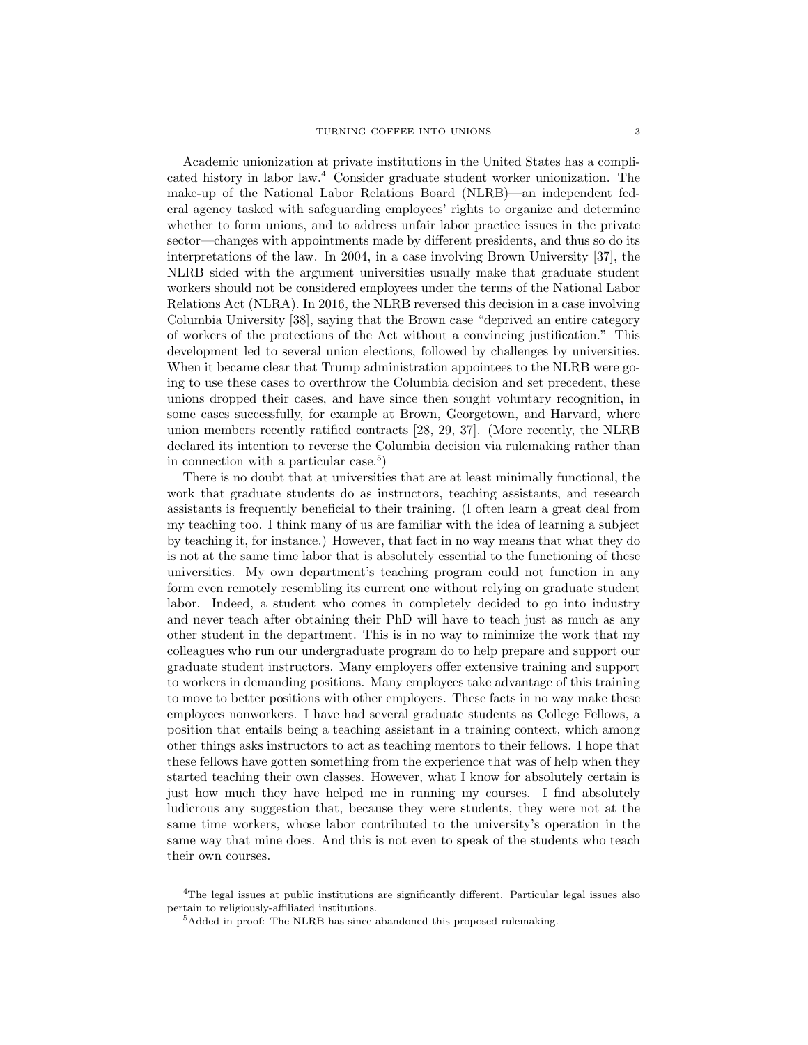Academic unionization at private institutions in the United States has a complicated history in labor law.<sup>4</sup> Consider graduate student worker unionization. The make-up of the National Labor Relations Board (NLRB)—an independent federal agency tasked with safeguarding employees' rights to organize and determine whether to form unions, and to address unfair labor practice issues in the private sector—changes with appointments made by different presidents, and thus so do its interpretations of the law. In 2004, in a case involving Brown University [37], the NLRB sided with the argument universities usually make that graduate student workers should not be considered employees under the terms of the National Labor Relations Act (NLRA). In 2016, the NLRB reversed this decision in a case involving Columbia University [38], saying that the Brown case "deprived an entire category of workers of the protections of the Act without a convincing justification." This development led to several union elections, followed by challenges by universities. When it became clear that Trump administration appointees to the NLRB were going to use these cases to overthrow the Columbia decision and set precedent, these unions dropped their cases, and have since then sought voluntary recognition, in some cases successfully, for example at Brown, Georgetown, and Harvard, where union members recently ratified contracts [28, 29, 37]. (More recently, the NLRB declared its intention to reverse the Columbia decision via rulemaking rather than in connection with a particular case.<sup>5</sup>)

There is no doubt that at universities that are at least minimally functional, the work that graduate students do as instructors, teaching assistants, and research assistants is frequently beneficial to their training. (I often learn a great deal from my teaching too. I think many of us are familiar with the idea of learning a subject by teaching it, for instance.) However, that fact in no way means that what they do is not at the same time labor that is absolutely essential to the functioning of these universities. My own department's teaching program could not function in any form even remotely resembling its current one without relying on graduate student labor. Indeed, a student who comes in completely decided to go into industry and never teach after obtaining their PhD will have to teach just as much as any other student in the department. This is in no way to minimize the work that my colleagues who run our undergraduate program do to help prepare and support our graduate student instructors. Many employers offer extensive training and support to workers in demanding positions. Many employees take advantage of this training to move to better positions with other employers. These facts in no way make these employees nonworkers. I have had several graduate students as College Fellows, a position that entails being a teaching assistant in a training context, which among other things asks instructors to act as teaching mentors to their fellows. I hope that these fellows have gotten something from the experience that was of help when they started teaching their own classes. However, what I know for absolutely certain is just how much they have helped me in running my courses. I find absolutely ludicrous any suggestion that, because they were students, they were not at the same time workers, whose labor contributed to the university's operation in the same way that mine does. And this is not even to speak of the students who teach their own courses.

<sup>&</sup>lt;sup>4</sup>The legal issues at public institutions are significantly different. Particular legal issues also pertain to religiously-affiliated institutions.

<sup>&</sup>lt;sup>5</sup>Added in proof: The NLRB has since abandoned this proposed rulemaking.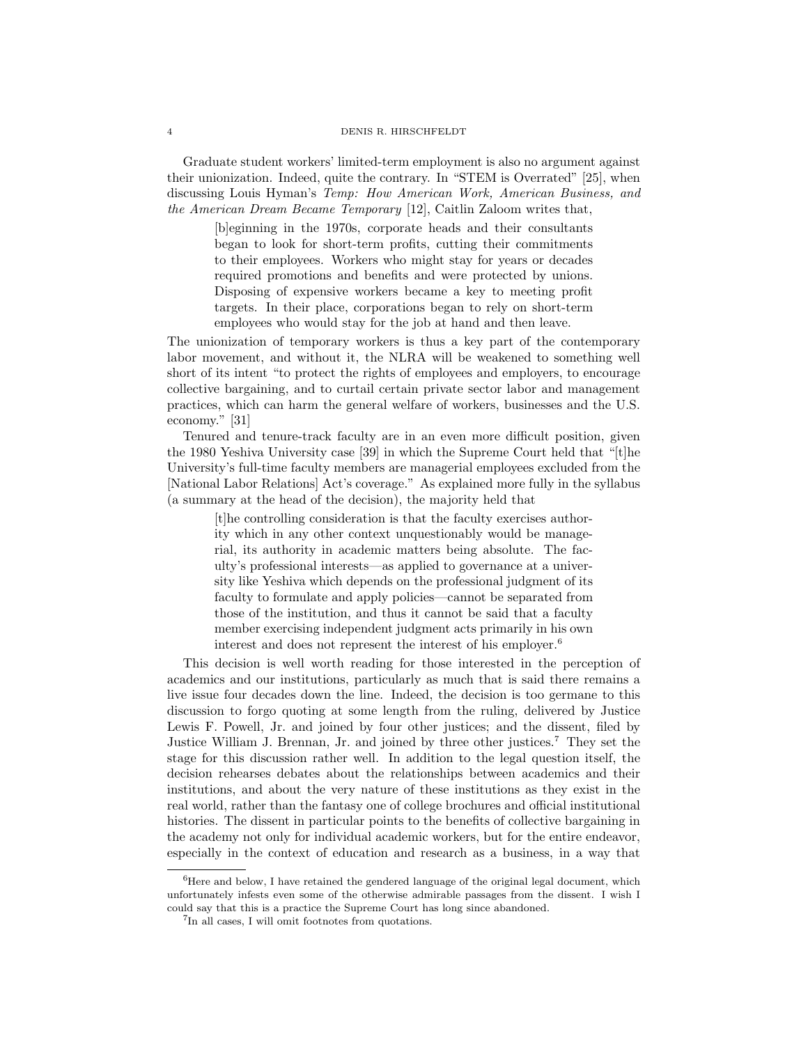Graduate student workers' limited-term employment is also no argument against their unionization. Indeed, quite the contrary. In "STEM is Overrated" [25], when discussing Louis Hyman's Temp: How American Work, American Business, and the American Dream Became Temporary [12], Caitlin Zaloom writes that,

[b]eginning in the 1970s, corporate heads and their consultants began to look for short-term profits, cutting their commitments to their employees. Workers who might stay for years or decades required promotions and benefits and were protected by unions. Disposing of expensive workers became a key to meeting profit targets. In their place, corporations began to rely on short-term employees who would stay for the job at hand and then leave.

The unionization of temporary workers is thus a key part of the contemporary labor movement, and without it, the NLRA will be weakened to something well short of its intent "to protect the rights of employees and employers, to encourage collective bargaining, and to curtail certain private sector labor and management practices, which can harm the general welfare of workers, businesses and the U.S. economy." [31]

Tenured and tenure-track faculty are in an even more difficult position, given the 1980 Yeshiva University case [39] in which the Supreme Court held that "[t]he University's full-time faculty members are managerial employees excluded from the [National Labor Relations] Act's coverage." As explained more fully in the syllabus (a summary at the head of the decision), the majority held that

[t]he controlling consideration is that the faculty exercises authority which in any other context unquestionably would be managerial, its authority in academic matters being absolute. The faculty's professional interests—as applied to governance at a university like Yeshiva which depends on the professional judgment of its faculty to formulate and apply policies—cannot be separated from those of the institution, and thus it cannot be said that a faculty member exercising independent judgment acts primarily in his own interest and does not represent the interest of his employer.<sup>6</sup>

This decision is well worth reading for those interested in the perception of academics and our institutions, particularly as much that is said there remains a live issue four decades down the line. Indeed, the decision is too germane to this discussion to forgo quoting at some length from the ruling, delivered by Justice Lewis F. Powell, Jr. and joined by four other justices; and the dissent, filed by Justice William J. Brennan, Jr. and joined by three other justices.<sup>7</sup> They set the stage for this discussion rather well. In addition to the legal question itself, the decision rehearses debates about the relationships between academics and their institutions, and about the very nature of these institutions as they exist in the real world, rather than the fantasy one of college brochures and official institutional histories. The dissent in particular points to the benefits of collective bargaining in the academy not only for individual academic workers, but for the entire endeavor, especially in the context of education and research as a business, in a way that

 $6$ Here and below, I have retained the gendered language of the original legal document, which unfortunately infests even some of the otherwise admirable passages from the dissent. I wish I could say that this is a practice the Supreme Court has long since abandoned.

<sup>7</sup> In all cases, I will omit footnotes from quotations.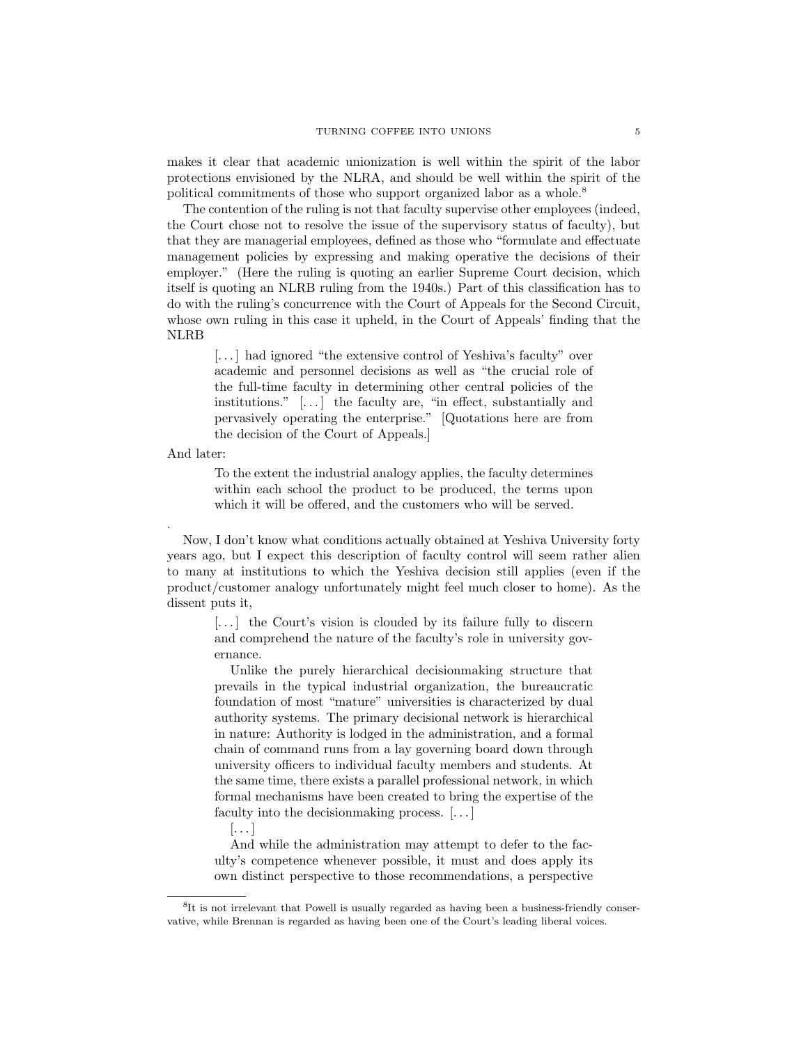makes it clear that academic unionization is well within the spirit of the labor protections envisioned by the NLRA, and should be well within the spirit of the political commitments of those who support organized labor as a whole.<sup>8</sup>

The contention of the ruling is not that faculty supervise other employees (indeed, the Court chose not to resolve the issue of the supervisory status of faculty), but that they are managerial employees, defined as those who "formulate and effectuate management policies by expressing and making operative the decisions of their employer." (Here the ruling is quoting an earlier Supreme Court decision, which itself is quoting an NLRB ruling from the 1940s.) Part of this classification has to do with the ruling's concurrence with the Court of Appeals for the Second Circuit, whose own ruling in this case it upheld, in the Court of Appeals' finding that the NLRB

[...] had ignored "the extensive control of Yeshiva's faculty" over academic and personnel decisions as well as "the crucial role of the full-time faculty in determining other central policies of the institutions."  $[\dots]$  the faculty are, "in effect, substantially and pervasively operating the enterprise." [Quotations here are from the decision of the Court of Appeals.]

And later:

.

To the extent the industrial analogy applies, the faculty determines within each school the product to be produced, the terms upon which it will be offered, and the customers who will be served.

Now, I don't know what conditions actually obtained at Yeshiva University forty years ago, but I expect this description of faculty control will seem rather alien to many at institutions to which the Yeshiva decision still applies (even if the product/customer analogy unfortunately might feel much closer to home). As the dissent puts it,

[...] the Court's vision is clouded by its failure fully to discern and comprehend the nature of the faculty's role in university governance.

Unlike the purely hierarchical decisionmaking structure that prevails in the typical industrial organization, the bureaucratic foundation of most "mature" universities is characterized by dual authority systems. The primary decisional network is hierarchical in nature: Authority is lodged in the administration, and a formal chain of command runs from a lay governing board down through university officers to individual faculty members and students. At the same time, there exists a parallel professional network, in which formal mechanisms have been created to bring the expertise of the faculty into the decision making process. [...]

 $\left[ \ldots \right]$ 

And while the administration may attempt to defer to the faculty's competence whenever possible, it must and does apply its own distinct perspective to those recommendations, a perspective

<sup>8</sup> It is not irrelevant that Powell is usually regarded as having been a business-friendly conservative, while Brennan is regarded as having been one of the Court's leading liberal voices.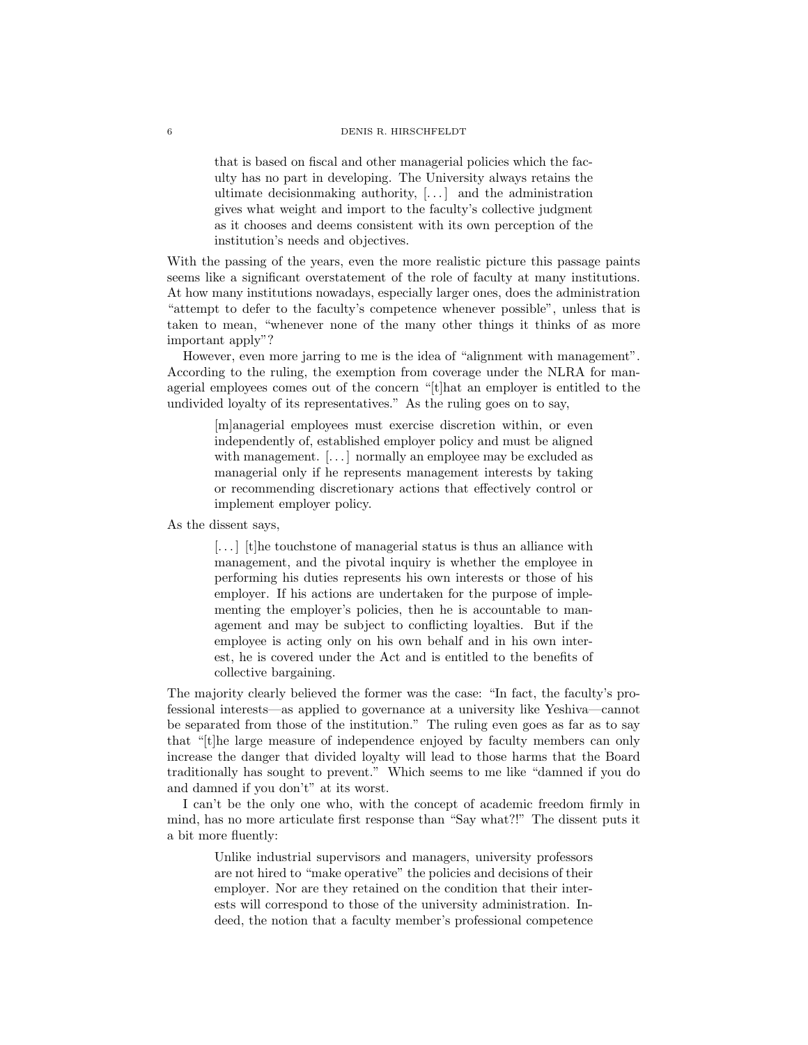that is based on fiscal and other managerial policies which the faculty has no part in developing. The University always retains the ultimate decisionmaking authority, [. . . ] and the administration gives what weight and import to the faculty's collective judgment as it chooses and deems consistent with its own perception of the institution's needs and objectives.

With the passing of the years, even the more realistic picture this passage paints seems like a significant overstatement of the role of faculty at many institutions. At how many institutions nowadays, especially larger ones, does the administration "attempt to defer to the faculty's competence whenever possible", unless that is taken to mean, "whenever none of the many other things it thinks of as more important apply"?

However, even more jarring to me is the idea of "alignment with management". According to the ruling, the exemption from coverage under the NLRA for managerial employees comes out of the concern "[t]hat an employer is entitled to the undivided loyalty of its representatives." As the ruling goes on to say,

[m]anagerial employees must exercise discretion within, or even independently of, established employer policy and must be aligned with management.  $[\dots]$  normally an employee may be excluded as managerial only if he represents management interests by taking or recommending discretionary actions that effectively control or implement employer policy.

As the dissent says,

 $\left[ \ldots \right]$  [t]he touchstone of managerial status is thus an alliance with management, and the pivotal inquiry is whether the employee in performing his duties represents his own interests or those of his employer. If his actions are undertaken for the purpose of implementing the employer's policies, then he is accountable to management and may be subject to conflicting loyalties. But if the employee is acting only on his own behalf and in his own interest, he is covered under the Act and is entitled to the benefits of collective bargaining.

The majority clearly believed the former was the case: "In fact, the faculty's professional interests—as applied to governance at a university like Yeshiva—cannot be separated from those of the institution." The ruling even goes as far as to say that "[t]he large measure of independence enjoyed by faculty members can only increase the danger that divided loyalty will lead to those harms that the Board traditionally has sought to prevent." Which seems to me like "damned if you do and damned if you don't" at its worst.

I can't be the only one who, with the concept of academic freedom firmly in mind, has no more articulate first response than "Say what?!" The dissent puts it a bit more fluently:

Unlike industrial supervisors and managers, university professors are not hired to "make operative" the policies and decisions of their employer. Nor are they retained on the condition that their interests will correspond to those of the university administration. Indeed, the notion that a faculty member's professional competence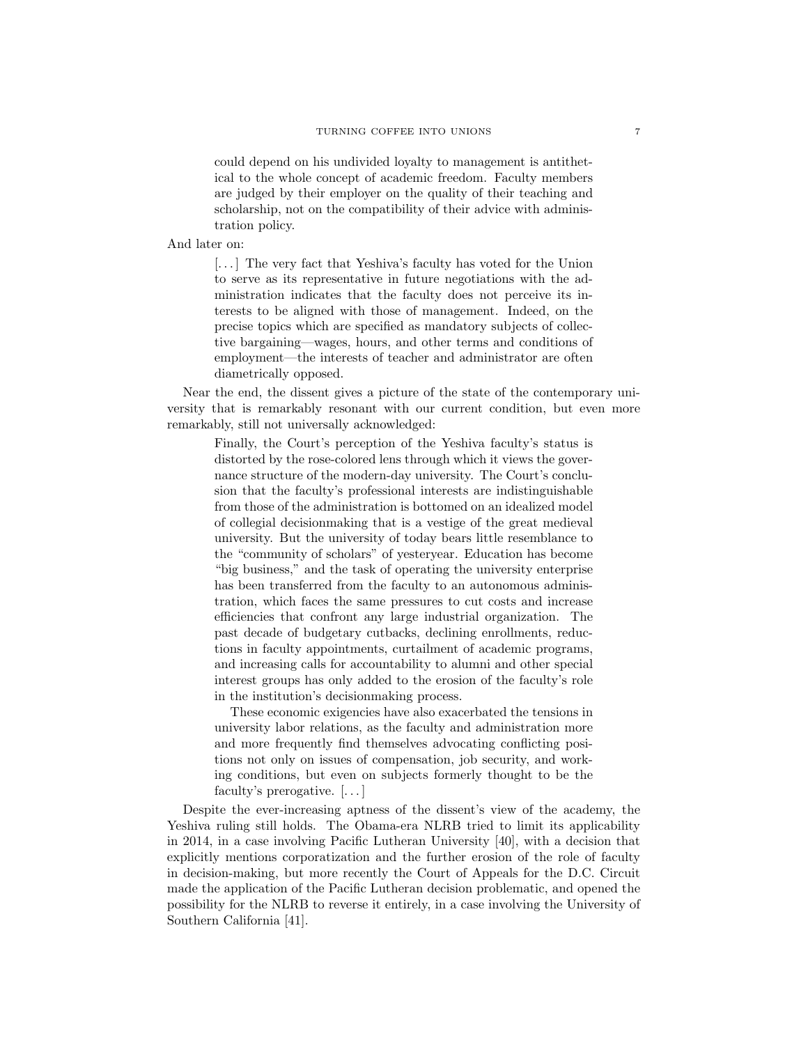could depend on his undivided loyalty to management is antithetical to the whole concept of academic freedom. Faculty members are judged by their employer on the quality of their teaching and scholarship, not on the compatibility of their advice with administration policy.

And later on:

[...] The very fact that Yeshiva's faculty has voted for the Union to serve as its representative in future negotiations with the administration indicates that the faculty does not perceive its interests to be aligned with those of management. Indeed, on the precise topics which are specified as mandatory subjects of collective bargaining—wages, hours, and other terms and conditions of employment—the interests of teacher and administrator are often diametrically opposed.

Near the end, the dissent gives a picture of the state of the contemporary university that is remarkably resonant with our current condition, but even more remarkably, still not universally acknowledged:

> Finally, the Court's perception of the Yeshiva faculty's status is distorted by the rose-colored lens through which it views the governance structure of the modern-day university. The Court's conclusion that the faculty's professional interests are indistinguishable from those of the administration is bottomed on an idealized model of collegial decisionmaking that is a vestige of the great medieval university. But the university of today bears little resemblance to the "community of scholars" of yesteryear. Education has become "big business," and the task of operating the university enterprise has been transferred from the faculty to an autonomous administration, which faces the same pressures to cut costs and increase efficiencies that confront any large industrial organization. The past decade of budgetary cutbacks, declining enrollments, reductions in faculty appointments, curtailment of academic programs, and increasing calls for accountability to alumni and other special interest groups has only added to the erosion of the faculty's role in the institution's decisionmaking process.

> These economic exigencies have also exacerbated the tensions in university labor relations, as the faculty and administration more and more frequently find themselves advocating conflicting positions not only on issues of compensation, job security, and working conditions, but even on subjects formerly thought to be the faculty's prerogative. [. . . ]

Despite the ever-increasing aptness of the dissent's view of the academy, the Yeshiva ruling still holds. The Obama-era NLRB tried to limit its applicability in 2014, in a case involving Pacific Lutheran University [40], with a decision that explicitly mentions corporatization and the further erosion of the role of faculty in decision-making, but more recently the Court of Appeals for the D.C. Circuit made the application of the Pacific Lutheran decision problematic, and opened the possibility for the NLRB to reverse it entirely, in a case involving the University of Southern California [41].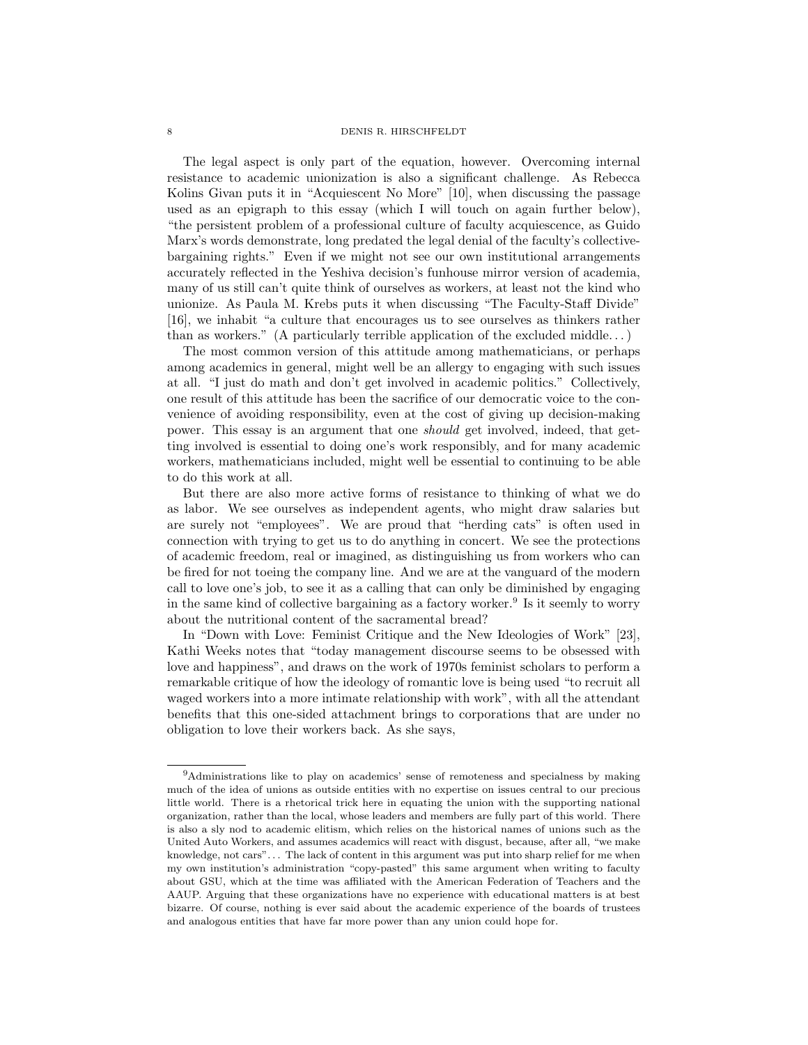The legal aspect is only part of the equation, however. Overcoming internal resistance to academic unionization is also a significant challenge. As Rebecca Kolins Givan puts it in "Acquiescent No More" [10], when discussing the passage used as an epigraph to this essay (which I will touch on again further below), "the persistent problem of a professional culture of faculty acquiescence, as Guido Marx's words demonstrate, long predated the legal denial of the faculty's collectivebargaining rights." Even if we might not see our own institutional arrangements accurately reflected in the Yeshiva decision's funhouse mirror version of academia, many of us still can't quite think of ourselves as workers, at least not the kind who unionize. As Paula M. Krebs puts it when discussing "The Faculty-Staff Divide" [16], we inhabit "a culture that encourages us to see ourselves as thinkers rather than as workers." (A particularly terrible application of the excluded middle...)

The most common version of this attitude among mathematicians, or perhaps among academics in general, might well be an allergy to engaging with such issues at all. "I just do math and don't get involved in academic politics." Collectively, one result of this attitude has been the sacrifice of our democratic voice to the convenience of avoiding responsibility, even at the cost of giving up decision-making power. This essay is an argument that one should get involved, indeed, that getting involved is essential to doing one's work responsibly, and for many academic workers, mathematicians included, might well be essential to continuing to be able to do this work at all.

But there are also more active forms of resistance to thinking of what we do as labor. We see ourselves as independent agents, who might draw salaries but are surely not "employees". We are proud that "herding cats" is often used in connection with trying to get us to do anything in concert. We see the protections of academic freedom, real or imagined, as distinguishing us from workers who can be fired for not toeing the company line. And we are at the vanguard of the modern call to love one's job, to see it as a calling that can only be diminished by engaging in the same kind of collective bargaining as a factory worker.<sup>9</sup> Is it seemly to worry about the nutritional content of the sacramental bread?

In "Down with Love: Feminist Critique and the New Ideologies of Work" [23], Kathi Weeks notes that "today management discourse seems to be obsessed with love and happiness", and draws on the work of 1970s feminist scholars to perform a remarkable critique of how the ideology of romantic love is being used "to recruit all waged workers into a more intimate relationship with work", with all the attendant benefits that this one-sided attachment brings to corporations that are under no obligation to love their workers back. As she says,

<sup>&</sup>lt;sup>9</sup>Administrations like to play on academics' sense of remoteness and specialness by making much of the idea of unions as outside entities with no expertise on issues central to our precious little world. There is a rhetorical trick here in equating the union with the supporting national organization, rather than the local, whose leaders and members are fully part of this world. There is also a sly nod to academic elitism, which relies on the historical names of unions such as the United Auto Workers, and assumes academics will react with disgust, because, after all, "we make knowledge, not cars". . . The lack of content in this argument was put into sharp relief for me when my own institution's administration "copy-pasted" this same argument when writing to faculty about GSU, which at the time was affiliated with the American Federation of Teachers and the AAUP. Arguing that these organizations have no experience with educational matters is at best bizarre. Of course, nothing is ever said about the academic experience of the boards of trustees and analogous entities that have far more power than any union could hope for.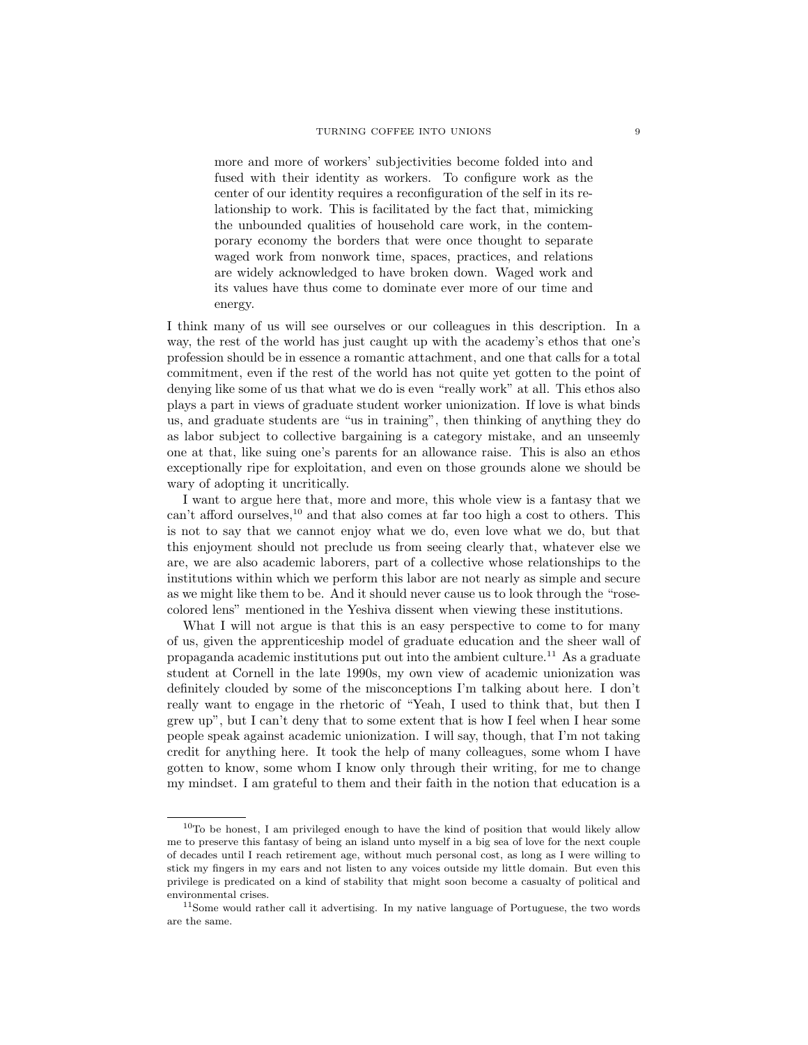more and more of workers' subjectivities become folded into and fused with their identity as workers. To configure work as the center of our identity requires a reconfiguration of the self in its relationship to work. This is facilitated by the fact that, mimicking the unbounded qualities of household care work, in the contemporary economy the borders that were once thought to separate waged work from nonwork time, spaces, practices, and relations are widely acknowledged to have broken down. Waged work and its values have thus come to dominate ever more of our time and energy.

I think many of us will see ourselves or our colleagues in this description. In a way, the rest of the world has just caught up with the academy's ethos that one's profession should be in essence a romantic attachment, and one that calls for a total commitment, even if the rest of the world has not quite yet gotten to the point of denying like some of us that what we do is even "really work" at all. This ethos also plays a part in views of graduate student worker unionization. If love is what binds us, and graduate students are "us in training", then thinking of anything they do as labor subject to collective bargaining is a category mistake, and an unseemly one at that, like suing one's parents for an allowance raise. This is also an ethos exceptionally ripe for exploitation, and even on those grounds alone we should be wary of adopting it uncritically.

I want to argue here that, more and more, this whole view is a fantasy that we can't afford ourselves,<sup>10</sup> and that also comes at far too high a cost to others. This is not to say that we cannot enjoy what we do, even love what we do, but that this enjoyment should not preclude us from seeing clearly that, whatever else we are, we are also academic laborers, part of a collective whose relationships to the institutions within which we perform this labor are not nearly as simple and secure as we might like them to be. And it should never cause us to look through the "rosecolored lens" mentioned in the Yeshiva dissent when viewing these institutions.

What I will not argue is that this is an easy perspective to come to for many of us, given the apprenticeship model of graduate education and the sheer wall of propaganda academic institutions put out into the ambient culture.<sup>11</sup> As a graduate student at Cornell in the late 1990s, my own view of academic unionization was definitely clouded by some of the misconceptions I'm talking about here. I don't really want to engage in the rhetoric of "Yeah, I used to think that, but then I grew up", but I can't deny that to some extent that is how I feel when I hear some people speak against academic unionization. I will say, though, that I'm not taking credit for anything here. It took the help of many colleagues, some whom I have gotten to know, some whom I know only through their writing, for me to change my mindset. I am grateful to them and their faith in the notion that education is a

 $10$ To be honest, I am privileged enough to have the kind of position that would likely allow me to preserve this fantasy of being an island unto myself in a big sea of love for the next couple of decades until I reach retirement age, without much personal cost, as long as I were willing to stick my fingers in my ears and not listen to any voices outside my little domain. But even this privilege is predicated on a kind of stability that might soon become a casualty of political and environmental crises.

<sup>11</sup>Some would rather call it advertising. In my native language of Portuguese, the two words are the same.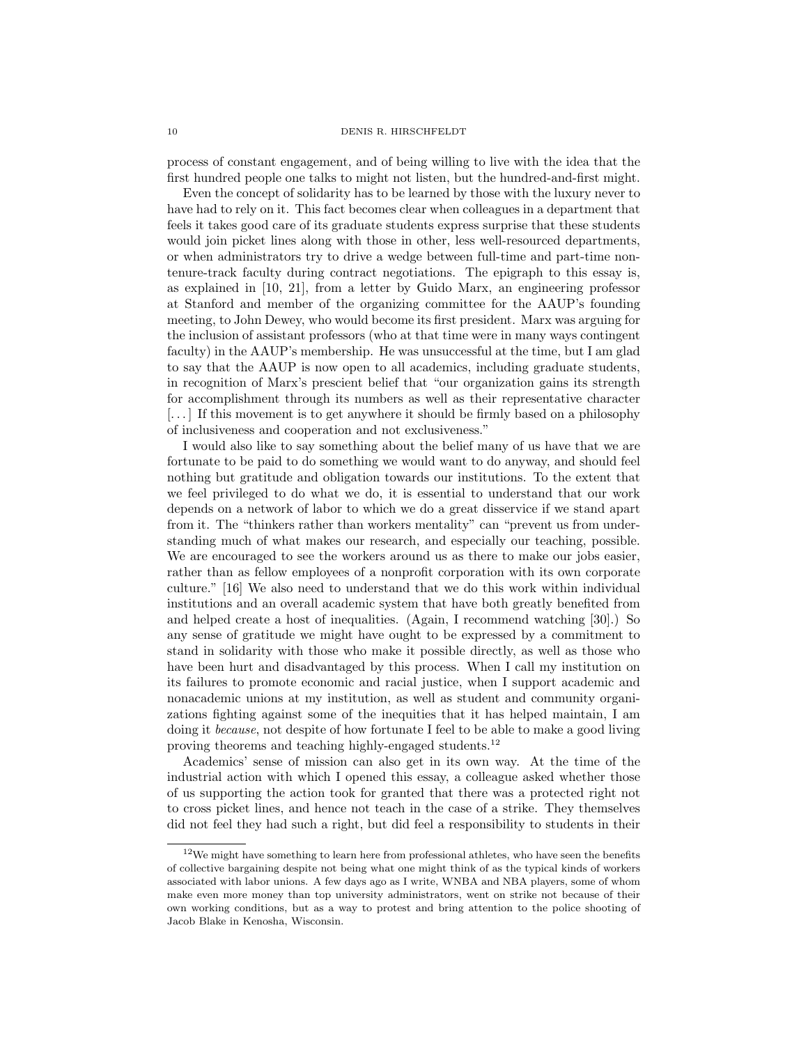process of constant engagement, and of being willing to live with the idea that the first hundred people one talks to might not listen, but the hundred-and-first might.

Even the concept of solidarity has to be learned by those with the luxury never to have had to rely on it. This fact becomes clear when colleagues in a department that feels it takes good care of its graduate students express surprise that these students would join picket lines along with those in other, less well-resourced departments, or when administrators try to drive a wedge between full-time and part-time nontenure-track faculty during contract negotiations. The epigraph to this essay is, as explained in [10, 21], from a letter by Guido Marx, an engineering professor at Stanford and member of the organizing committee for the AAUP's founding meeting, to John Dewey, who would become its first president. Marx was arguing for the inclusion of assistant professors (who at that time were in many ways contingent faculty) in the AAUP's membership. He was unsuccessful at the time, but I am glad to say that the AAUP is now open to all academics, including graduate students, in recognition of Marx's prescient belief that "our organization gains its strength for accomplishment through its numbers as well as their representative character [. . . ] If this movement is to get anywhere it should be firmly based on a philosophy of inclusiveness and cooperation and not exclusiveness."

I would also like to say something about the belief many of us have that we are fortunate to be paid to do something we would want to do anyway, and should feel nothing but gratitude and obligation towards our institutions. To the extent that we feel privileged to do what we do, it is essential to understand that our work depends on a network of labor to which we do a great disservice if we stand apart from it. The "thinkers rather than workers mentality" can "prevent us from understanding much of what makes our research, and especially our teaching, possible. We are encouraged to see the workers around us as there to make our jobs easier, rather than as fellow employees of a nonprofit corporation with its own corporate culture." [16] We also need to understand that we do this work within individual institutions and an overall academic system that have both greatly benefited from and helped create a host of inequalities. (Again, I recommend watching [30].) So any sense of gratitude we might have ought to be expressed by a commitment to stand in solidarity with those who make it possible directly, as well as those who have been hurt and disadvantaged by this process. When I call my institution on its failures to promote economic and racial justice, when I support academic and nonacademic unions at my institution, as well as student and community organizations fighting against some of the inequities that it has helped maintain, I am doing it because, not despite of how fortunate I feel to be able to make a good living proving theorems and teaching highly-engaged students.<sup>12</sup>

Academics' sense of mission can also get in its own way. At the time of the industrial action with which I opened this essay, a colleague asked whether those of us supporting the action took for granted that there was a protected right not to cross picket lines, and hence not teach in the case of a strike. They themselves did not feel they had such a right, but did feel a responsibility to students in their

 $12$ We might have something to learn here from professional athletes, who have seen the benefits of collective bargaining despite not being what one might think of as the typical kinds of workers associated with labor unions. A few days ago as I write, WNBA and NBA players, some of whom make even more money than top university administrators, went on strike not because of their own working conditions, but as a way to protest and bring attention to the police shooting of Jacob Blake in Kenosha, Wisconsin.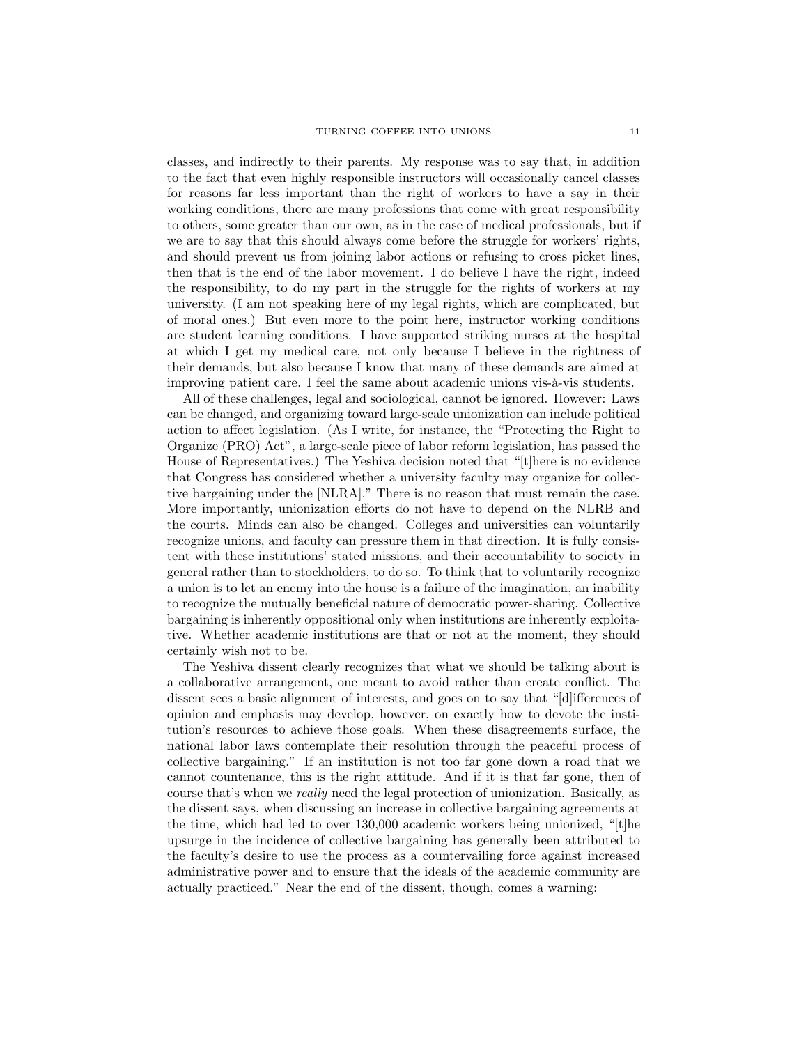classes, and indirectly to their parents. My response was to say that, in addition to the fact that even highly responsible instructors will occasionally cancel classes for reasons far less important than the right of workers to have a say in their working conditions, there are many professions that come with great responsibility to others, some greater than our own, as in the case of medical professionals, but if we are to say that this should always come before the struggle for workers' rights, and should prevent us from joining labor actions or refusing to cross picket lines, then that is the end of the labor movement. I do believe I have the right, indeed the responsibility, to do my part in the struggle for the rights of workers at my university. (I am not speaking here of my legal rights, which are complicated, but of moral ones.) But even more to the point here, instructor working conditions are student learning conditions. I have supported striking nurses at the hospital at which I get my medical care, not only because I believe in the rightness of their demands, but also because I know that many of these demands are aimed at improving patient care. I feel the same about academic unions vis- $\grave{a}$ -vis students.

All of these challenges, legal and sociological, cannot be ignored. However: Laws can be changed, and organizing toward large-scale unionization can include political action to affect legislation. (As I write, for instance, the "Protecting the Right to Organize (PRO) Act", a large-scale piece of labor reform legislation, has passed the House of Representatives.) The Yeshiva decision noted that "[t]here is no evidence that Congress has considered whether a university faculty may organize for collective bargaining under the [NLRA]." There is no reason that must remain the case. More importantly, unionization efforts do not have to depend on the NLRB and the courts. Minds can also be changed. Colleges and universities can voluntarily recognize unions, and faculty can pressure them in that direction. It is fully consistent with these institutions' stated missions, and their accountability to society in general rather than to stockholders, to do so. To think that to voluntarily recognize a union is to let an enemy into the house is a failure of the imagination, an inability to recognize the mutually beneficial nature of democratic power-sharing. Collective bargaining is inherently oppositional only when institutions are inherently exploitative. Whether academic institutions are that or not at the moment, they should certainly wish not to be.

The Yeshiva dissent clearly recognizes that what we should be talking about is a collaborative arrangement, one meant to avoid rather than create conflict. The dissent sees a basic alignment of interests, and goes on to say that "[d]ifferences of opinion and emphasis may develop, however, on exactly how to devote the institution's resources to achieve those goals. When these disagreements surface, the national labor laws contemplate their resolution through the peaceful process of collective bargaining." If an institution is not too far gone down a road that we cannot countenance, this is the right attitude. And if it is that far gone, then of course that's when we really need the legal protection of unionization. Basically, as the dissent says, when discussing an increase in collective bargaining agreements at the time, which had led to over 130,000 academic workers being unionized, "[t]he upsurge in the incidence of collective bargaining has generally been attributed to the faculty's desire to use the process as a countervailing force against increased administrative power and to ensure that the ideals of the academic community are actually practiced." Near the end of the dissent, though, comes a warning: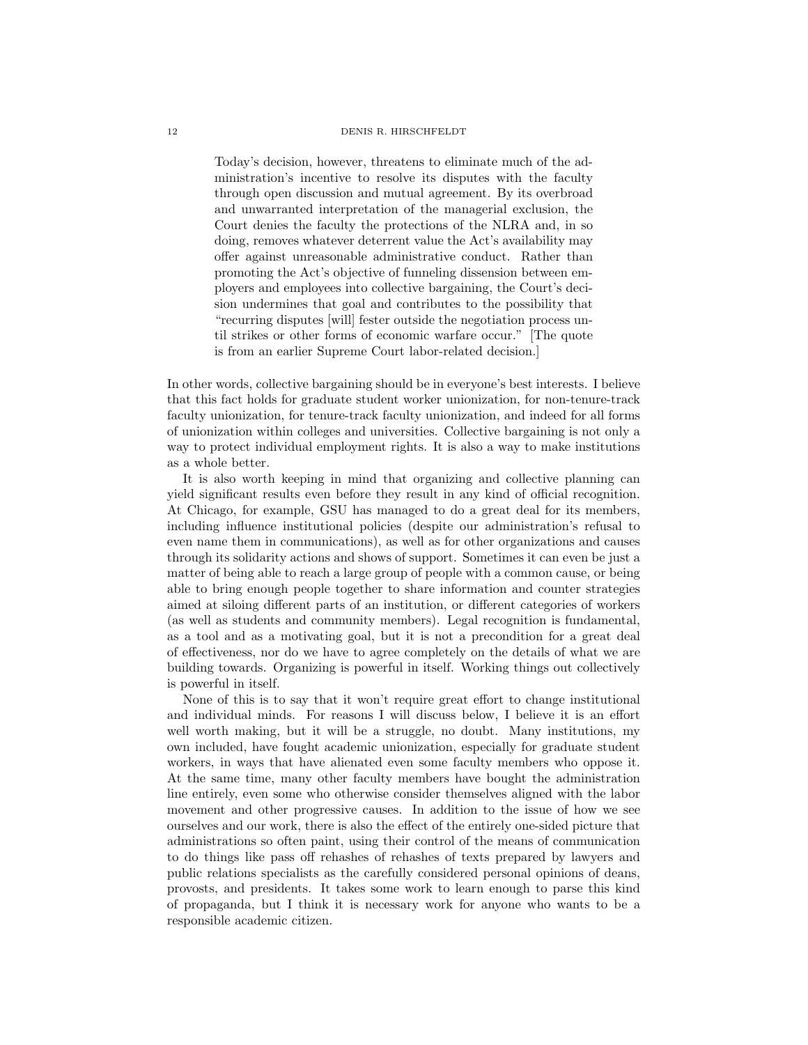Today's decision, however, threatens to eliminate much of the administration's incentive to resolve its disputes with the faculty through open discussion and mutual agreement. By its overbroad and unwarranted interpretation of the managerial exclusion, the Court denies the faculty the protections of the NLRA and, in so doing, removes whatever deterrent value the Act's availability may offer against unreasonable administrative conduct. Rather than promoting the Act's objective of funneling dissension between employers and employees into collective bargaining, the Court's decision undermines that goal and contributes to the possibility that "recurring disputes [will] fester outside the negotiation process until strikes or other forms of economic warfare occur." [The quote is from an earlier Supreme Court labor-related decision.]

In other words, collective bargaining should be in everyone's best interests. I believe that this fact holds for graduate student worker unionization, for non-tenure-track faculty unionization, for tenure-track faculty unionization, and indeed for all forms of unionization within colleges and universities. Collective bargaining is not only a way to protect individual employment rights. It is also a way to make institutions as a whole better.

It is also worth keeping in mind that organizing and collective planning can yield significant results even before they result in any kind of official recognition. At Chicago, for example, GSU has managed to do a great deal for its members, including influence institutional policies (despite our administration's refusal to even name them in communications), as well as for other organizations and causes through its solidarity actions and shows of support. Sometimes it can even be just a matter of being able to reach a large group of people with a common cause, or being able to bring enough people together to share information and counter strategies aimed at siloing different parts of an institution, or different categories of workers (as well as students and community members). Legal recognition is fundamental, as a tool and as a motivating goal, but it is not a precondition for a great deal of effectiveness, nor do we have to agree completely on the details of what we are building towards. Organizing is powerful in itself. Working things out collectively is powerful in itself.

None of this is to say that it won't require great effort to change institutional and individual minds. For reasons I will discuss below, I believe it is an effort well worth making, but it will be a struggle, no doubt. Many institutions, my own included, have fought academic unionization, especially for graduate student workers, in ways that have alienated even some faculty members who oppose it. At the same time, many other faculty members have bought the administration line entirely, even some who otherwise consider themselves aligned with the labor movement and other progressive causes. In addition to the issue of how we see ourselves and our work, there is also the effect of the entirely one-sided picture that administrations so often paint, using their control of the means of communication to do things like pass off rehashes of rehashes of texts prepared by lawyers and public relations specialists as the carefully considered personal opinions of deans, provosts, and presidents. It takes some work to learn enough to parse this kind of propaganda, but I think it is necessary work for anyone who wants to be a responsible academic citizen.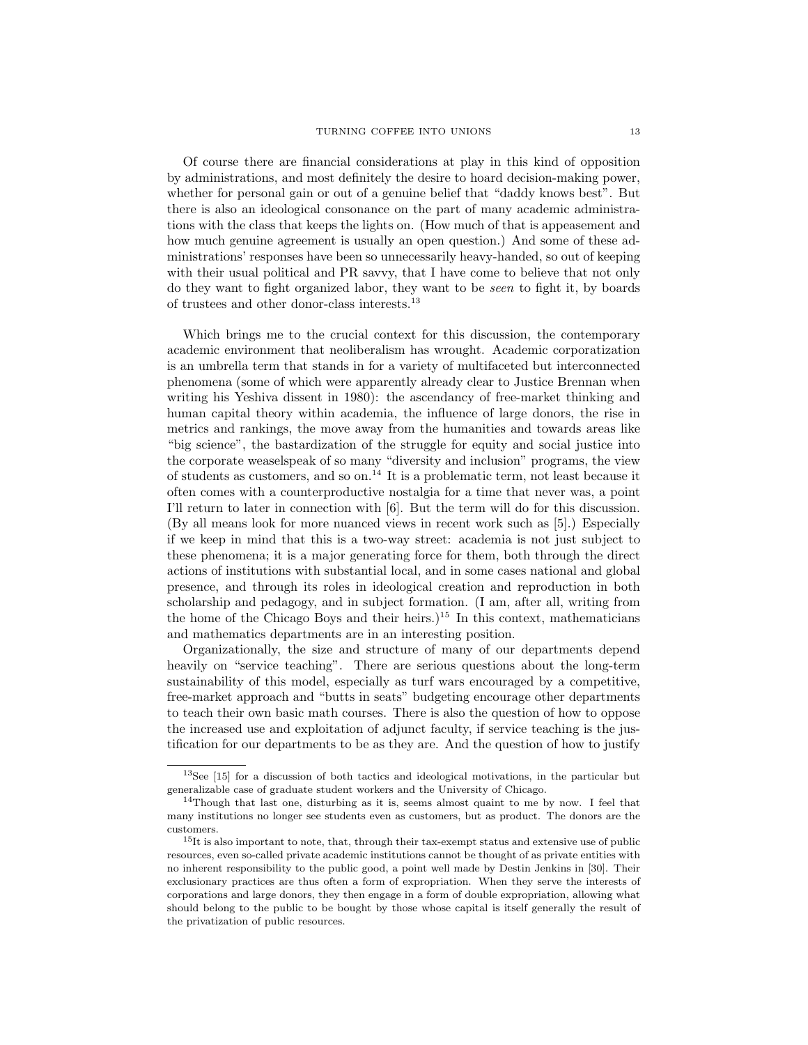Of course there are financial considerations at play in this kind of opposition by administrations, and most definitely the desire to hoard decision-making power, whether for personal gain or out of a genuine belief that "daddy knows best". But there is also an ideological consonance on the part of many academic administrations with the class that keeps the lights on. (How much of that is appeasement and how much genuine agreement is usually an open question.) And some of these administrations' responses have been so unnecessarily heavy-handed, so out of keeping with their usual political and PR savvy, that I have come to believe that not only do they want to fight organized labor, they want to be seen to fight it, by boards of trustees and other donor-class interests.<sup>13</sup>

Which brings me to the crucial context for this discussion, the contemporary academic environment that neoliberalism has wrought. Academic corporatization is an umbrella term that stands in for a variety of multifaceted but interconnected phenomena (some of which were apparently already clear to Justice Brennan when writing his Yeshiva dissent in 1980): the ascendancy of free-market thinking and human capital theory within academia, the influence of large donors, the rise in metrics and rankings, the move away from the humanities and towards areas like "big science", the bastardization of the struggle for equity and social justice into the corporate weaselspeak of so many "diversity and inclusion" programs, the view of students as customers, and so on.<sup>14</sup> It is a problematic term, not least because it often comes with a counterproductive nostalgia for a time that never was, a point I'll return to later in connection with [6]. But the term will do for this discussion. (By all means look for more nuanced views in recent work such as [5].) Especially if we keep in mind that this is a two-way street: academia is not just subject to these phenomena; it is a major generating force for them, both through the direct actions of institutions with substantial local, and in some cases national and global presence, and through its roles in ideological creation and reproduction in both scholarship and pedagogy, and in subject formation. (I am, after all, writing from the home of the Chicago Boys and their heirs.)<sup>15</sup> In this context, mathematicians and mathematics departments are in an interesting position.

Organizationally, the size and structure of many of our departments depend heavily on "service teaching". There are serious questions about the long-term sustainability of this model, especially as turf wars encouraged by a competitive, free-market approach and "butts in seats" budgeting encourage other departments to teach their own basic math courses. There is also the question of how to oppose the increased use and exploitation of adjunct faculty, if service teaching is the justification for our departments to be as they are. And the question of how to justify

<sup>&</sup>lt;sup>13</sup>See [15] for a discussion of both tactics and ideological motivations, in the particular but generalizable case of graduate student workers and the University of Chicago.

<sup>&</sup>lt;sup>14</sup>Though that last one, disturbing as it is, seems almost quaint to me by now. I feel that many institutions no longer see students even as customers, but as product. The donors are the customers.

 $^{15}\mathrm{It}$  is also important to note, that, through their tax-exempt status and extensive use of public resources, even so-called private academic institutions cannot be thought of as private entities with no inherent responsibility to the public good, a point well made by Destin Jenkins in [30]. Their exclusionary practices are thus often a form of expropriation. When they serve the interests of corporations and large donors, they then engage in a form of double expropriation, allowing what should belong to the public to be bought by those whose capital is itself generally the result of the privatization of public resources.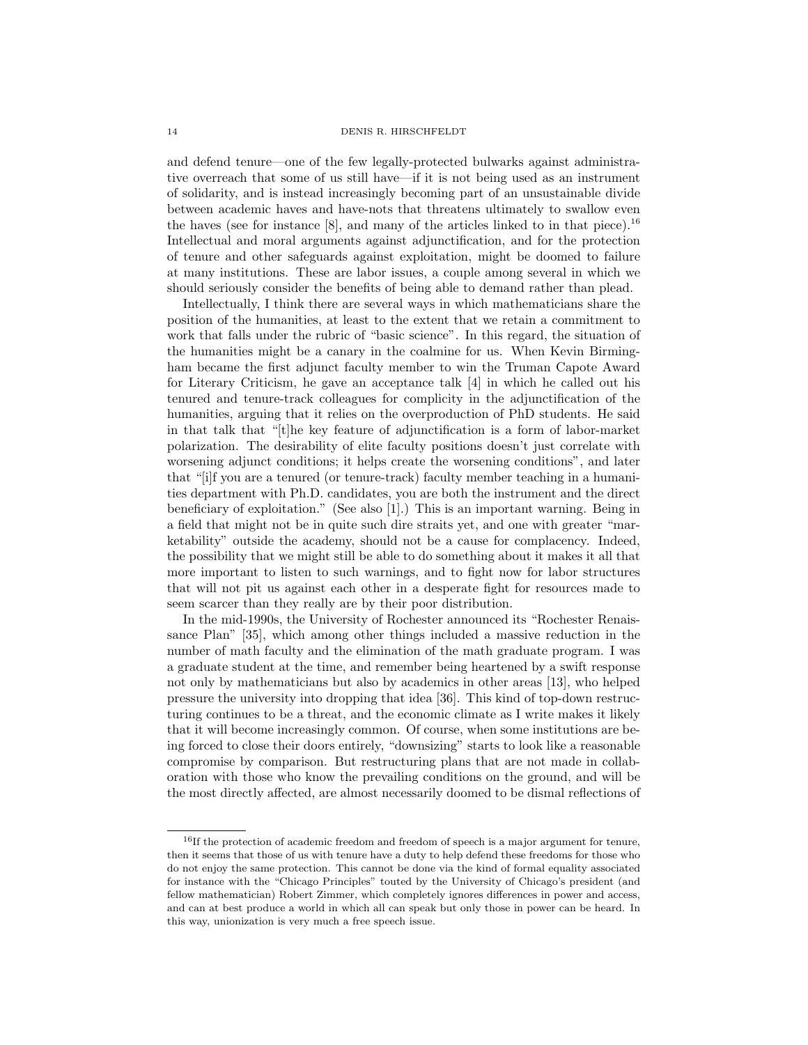and defend tenure—one of the few legally-protected bulwarks against administrative overreach that some of us still have—if it is not being used as an instrument of solidarity, and is instead increasingly becoming part of an unsustainable divide between academic haves and have-nots that threatens ultimately to swallow even the haves (see for instance  $[8]$ , and many of the articles linked to in that piece).<sup>16</sup> Intellectual and moral arguments against adjunctification, and for the protection of tenure and other safeguards against exploitation, might be doomed to failure at many institutions. These are labor issues, a couple among several in which we should seriously consider the benefits of being able to demand rather than plead.

Intellectually, I think there are several ways in which mathematicians share the position of the humanities, at least to the extent that we retain a commitment to work that falls under the rubric of "basic science". In this regard, the situation of the humanities might be a canary in the coalmine for us. When Kevin Birmingham became the first adjunct faculty member to win the Truman Capote Award for Literary Criticism, he gave an acceptance talk [4] in which he called out his tenured and tenure-track colleagues for complicity in the adjunctification of the humanities, arguing that it relies on the overproduction of PhD students. He said in that talk that "[t]he key feature of adjunctification is a form of labor-market polarization. The desirability of elite faculty positions doesn't just correlate with worsening adjunct conditions; it helps create the worsening conditions", and later that "[i]f you are a tenured (or tenure-track) faculty member teaching in a humanities department with Ph.D. candidates, you are both the instrument and the direct beneficiary of exploitation." (See also [1].) This is an important warning. Being in a field that might not be in quite such dire straits yet, and one with greater "marketability" outside the academy, should not be a cause for complacency. Indeed, the possibility that we might still be able to do something about it makes it all that more important to listen to such warnings, and to fight now for labor structures that will not pit us against each other in a desperate fight for resources made to seem scarcer than they really are by their poor distribution.

In the mid-1990s, the University of Rochester announced its "Rochester Renaissance Plan" [35], which among other things included a massive reduction in the number of math faculty and the elimination of the math graduate program. I was a graduate student at the time, and remember being heartened by a swift response not only by mathematicians but also by academics in other areas [13], who helped pressure the university into dropping that idea [36]. This kind of top-down restructuring continues to be a threat, and the economic climate as I write makes it likely that it will become increasingly common. Of course, when some institutions are being forced to close their doors entirely, "downsizing" starts to look like a reasonable compromise by comparison. But restructuring plans that are not made in collaboration with those who know the prevailing conditions on the ground, and will be the most directly affected, are almost necessarily doomed to be dismal reflections of

 $^{16}\mathrm{If}$  the protection of academic freedom and freedom of speech is a major argument for tenure, then it seems that those of us with tenure have a duty to help defend these freedoms for those who do not enjoy the same protection. This cannot be done via the kind of formal equality associated for instance with the "Chicago Principles" touted by the University of Chicago's president (and fellow mathematician) Robert Zimmer, which completely ignores differences in power and access, and can at best produce a world in which all can speak but only those in power can be heard. In this way, unionization is very much a free speech issue.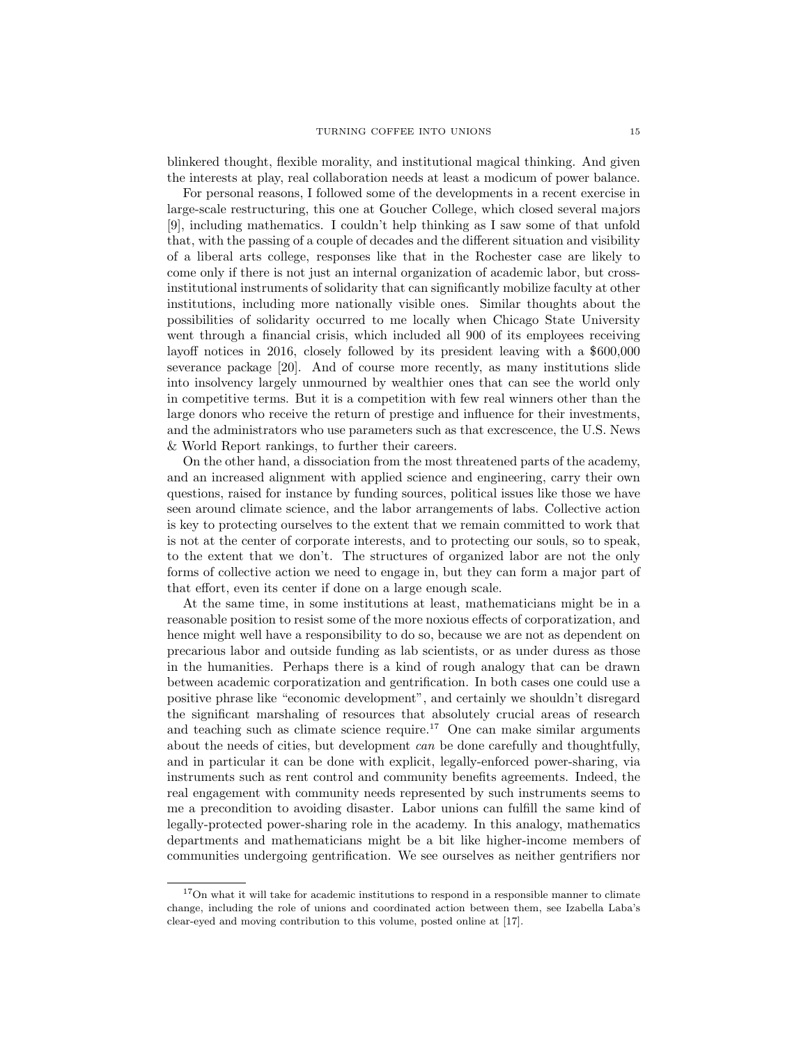blinkered thought, flexible morality, and institutional magical thinking. And given the interests at play, real collaboration needs at least a modicum of power balance.

For personal reasons, I followed some of the developments in a recent exercise in large-scale restructuring, this one at Goucher College, which closed several majors [9], including mathematics. I couldn't help thinking as I saw some of that unfold that, with the passing of a couple of decades and the different situation and visibility of a liberal arts college, responses like that in the Rochester case are likely to come only if there is not just an internal organization of academic labor, but crossinstitutional instruments of solidarity that can significantly mobilize faculty at other institutions, including more nationally visible ones. Similar thoughts about the possibilities of solidarity occurred to me locally when Chicago State University went through a financial crisis, which included all 900 of its employees receiving layoff notices in 2016, closely followed by its president leaving with a \$600,000 severance package [20]. And of course more recently, as many institutions slide into insolvency largely unmourned by wealthier ones that can see the world only in competitive terms. But it is a competition with few real winners other than the large donors who receive the return of prestige and influence for their investments, and the administrators who use parameters such as that excrescence, the U.S. News & World Report rankings, to further their careers.

On the other hand, a dissociation from the most threatened parts of the academy, and an increased alignment with applied science and engineering, carry their own questions, raised for instance by funding sources, political issues like those we have seen around climate science, and the labor arrangements of labs. Collective action is key to protecting ourselves to the extent that we remain committed to work that is not at the center of corporate interests, and to protecting our souls, so to speak, to the extent that we don't. The structures of organized labor are not the only forms of collective action we need to engage in, but they can form a major part of that effort, even its center if done on a large enough scale.

At the same time, in some institutions at least, mathematicians might be in a reasonable position to resist some of the more noxious effects of corporatization, and hence might well have a responsibility to do so, because we are not as dependent on precarious labor and outside funding as lab scientists, or as under duress as those in the humanities. Perhaps there is a kind of rough analogy that can be drawn between academic corporatization and gentrification. In both cases one could use a positive phrase like "economic development", and certainly we shouldn't disregard the significant marshaling of resources that absolutely crucial areas of research and teaching such as climate science require.<sup>17</sup> One can make similar arguments about the needs of cities, but development can be done carefully and thoughtfully, and in particular it can be done with explicit, legally-enforced power-sharing, via instruments such as rent control and community benefits agreements. Indeed, the real engagement with community needs represented by such instruments seems to me a precondition to avoiding disaster. Labor unions can fulfill the same kind of legally-protected power-sharing role in the academy. In this analogy, mathematics departments and mathematicians might be a bit like higher-income members of communities undergoing gentrification. We see ourselves as neither gentrifiers nor

 $17$ On what it will take for academic institutions to respond in a responsible manner to climate change, including the role of unions and coordinated action between them, see Izabella Laba's clear-eyed and moving contribution to this volume, posted online at [17].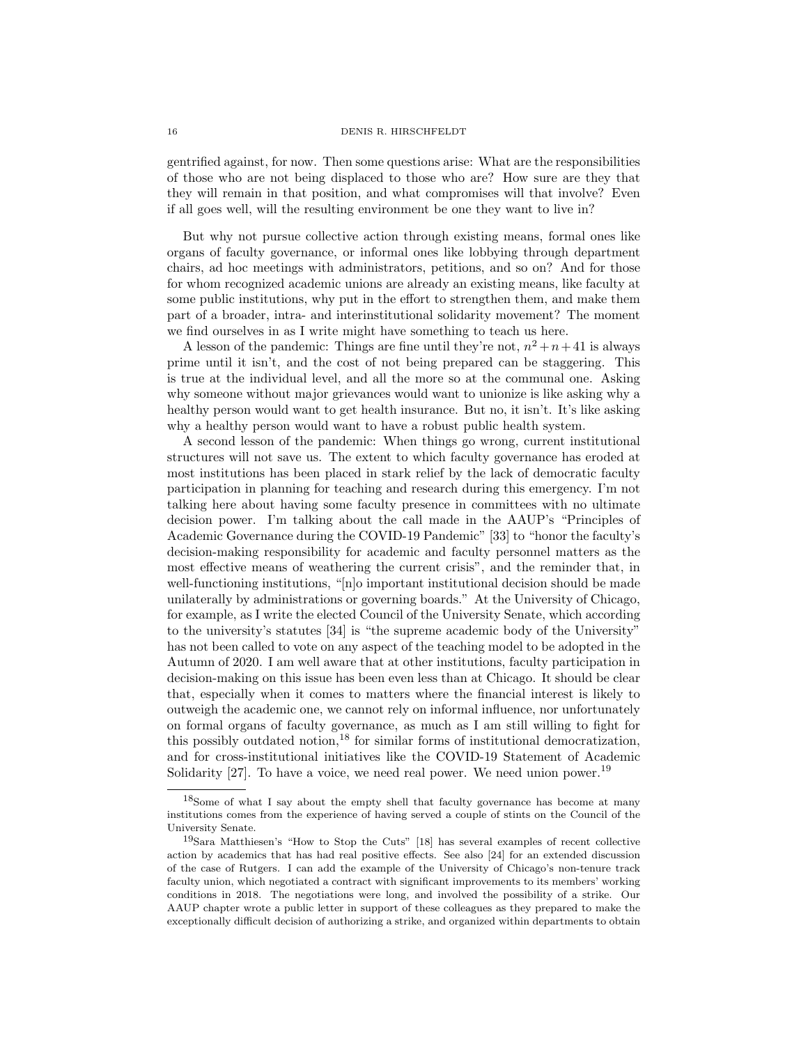gentrified against, for now. Then some questions arise: What are the responsibilities of those who are not being displaced to those who are? How sure are they that they will remain in that position, and what compromises will that involve? Even if all goes well, will the resulting environment be one they want to live in?

But why not pursue collective action through existing means, formal ones like organs of faculty governance, or informal ones like lobbying through department chairs, ad hoc meetings with administrators, petitions, and so on? And for those for whom recognized academic unions are already an existing means, like faculty at some public institutions, why put in the effort to strengthen them, and make them part of a broader, intra- and interinstitutional solidarity movement? The moment we find ourselves in as I write might have something to teach us here.

A lesson of the pandemic: Things are fine until they're not,  $n^2 + n + 41$  is always prime until it isn't, and the cost of not being prepared can be staggering. This is true at the individual level, and all the more so at the communal one. Asking why someone without major grievances would want to unionize is like asking why a healthy person would want to get health insurance. But no, it isn't. It's like asking why a healthy person would want to have a robust public health system.

A second lesson of the pandemic: When things go wrong, current institutional structures will not save us. The extent to which faculty governance has eroded at most institutions has been placed in stark relief by the lack of democratic faculty participation in planning for teaching and research during this emergency. I'm not talking here about having some faculty presence in committees with no ultimate decision power. I'm talking about the call made in the AAUP's "Principles of Academic Governance during the COVID-19 Pandemic" [33] to "honor the faculty's decision-making responsibility for academic and faculty personnel matters as the most effective means of weathering the current crisis", and the reminder that, in well-functioning institutions, "[n]o important institutional decision should be made unilaterally by administrations or governing boards." At the University of Chicago, for example, as I write the elected Council of the University Senate, which according to the university's statutes [34] is "the supreme academic body of the University" has not been called to vote on any aspect of the teaching model to be adopted in the Autumn of 2020. I am well aware that at other institutions, faculty participation in decision-making on this issue has been even less than at Chicago. It should be clear that, especially when it comes to matters where the financial interest is likely to outweigh the academic one, we cannot rely on informal influence, nor unfortunately on formal organs of faculty governance, as much as I am still willing to fight for this possibly outdated notion,<sup>18</sup> for similar forms of institutional democratization, and for cross-institutional initiatives like the COVID-19 Statement of Academic Solidarity  $[27]$ . To have a voice, we need real power. We need union power.<sup>19</sup>

<sup>&</sup>lt;sup>18</sup>Some of what I say about the empty shell that faculty governance has become at many institutions comes from the experience of having served a couple of stints on the Council of the University Senate.

<sup>19</sup>Sara Matthiesen's "How to Stop the Cuts" [18] has several examples of recent collective action by academics that has had real positive effects. See also [24] for an extended discussion of the case of Rutgers. I can add the example of the University of Chicago's non-tenure track faculty union, which negotiated a contract with significant improvements to its members' working conditions in 2018. The negotiations were long, and involved the possibility of a strike. Our AAUP chapter wrote a public letter in support of these colleagues as they prepared to make the exceptionally difficult decision of authorizing a strike, and organized within departments to obtain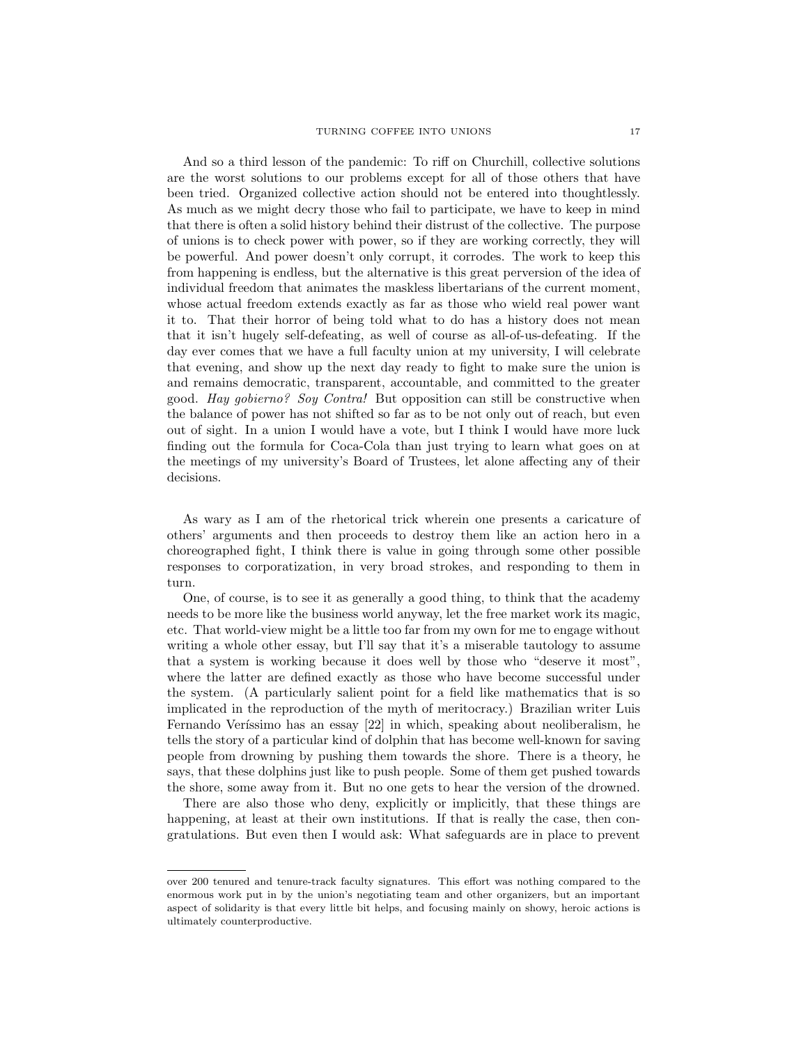And so a third lesson of the pandemic: To riff on Churchill, collective solutions are the worst solutions to our problems except for all of those others that have been tried. Organized collective action should not be entered into thoughtlessly. As much as we might decry those who fail to participate, we have to keep in mind that there is often a solid history behind their distrust of the collective. The purpose of unions is to check power with power, so if they are working correctly, they will be powerful. And power doesn't only corrupt, it corrodes. The work to keep this from happening is endless, but the alternative is this great perversion of the idea of individual freedom that animates the maskless libertarians of the current moment, whose actual freedom extends exactly as far as those who wield real power want it to. That their horror of being told what to do has a history does not mean that it isn't hugely self-defeating, as well of course as all-of-us-defeating. If the day ever comes that we have a full faculty union at my university, I will celebrate that evening, and show up the next day ready to fight to make sure the union is and remains democratic, transparent, accountable, and committed to the greater good. Hay gobierno? Soy Contra! But opposition can still be constructive when the balance of power has not shifted so far as to be not only out of reach, but even out of sight. In a union I would have a vote, but I think I would have more luck finding out the formula for Coca-Cola than just trying to learn what goes on at the meetings of my university's Board of Trustees, let alone affecting any of their decisions.

As wary as I am of the rhetorical trick wherein one presents a caricature of others' arguments and then proceeds to destroy them like an action hero in a choreographed fight, I think there is value in going through some other possible responses to corporatization, in very broad strokes, and responding to them in turn.

One, of course, is to see it as generally a good thing, to think that the academy needs to be more like the business world anyway, let the free market work its magic, etc. That world-view might be a little too far from my own for me to engage without writing a whole other essay, but I'll say that it's a miserable tautology to assume that a system is working because it does well by those who "deserve it most", where the latter are defined exactly as those who have become successful under the system. (A particularly salient point for a field like mathematics that is so implicated in the reproduction of the myth of meritocracy.) Brazilian writer Luis Fernando Veríssimo has an essay [22] in which, speaking about neoliberalism, he tells the story of a particular kind of dolphin that has become well-known for saving people from drowning by pushing them towards the shore. There is a theory, he says, that these dolphins just like to push people. Some of them get pushed towards the shore, some away from it. But no one gets to hear the version of the drowned.

There are also those who deny, explicitly or implicitly, that these things are happening, at least at their own institutions. If that is really the case, then congratulations. But even then I would ask: What safeguards are in place to prevent

over 200 tenured and tenure-track faculty signatures. This effort was nothing compared to the enormous work put in by the union's negotiating team and other organizers, but an important aspect of solidarity is that every little bit helps, and focusing mainly on showy, heroic actions is ultimately counterproductive.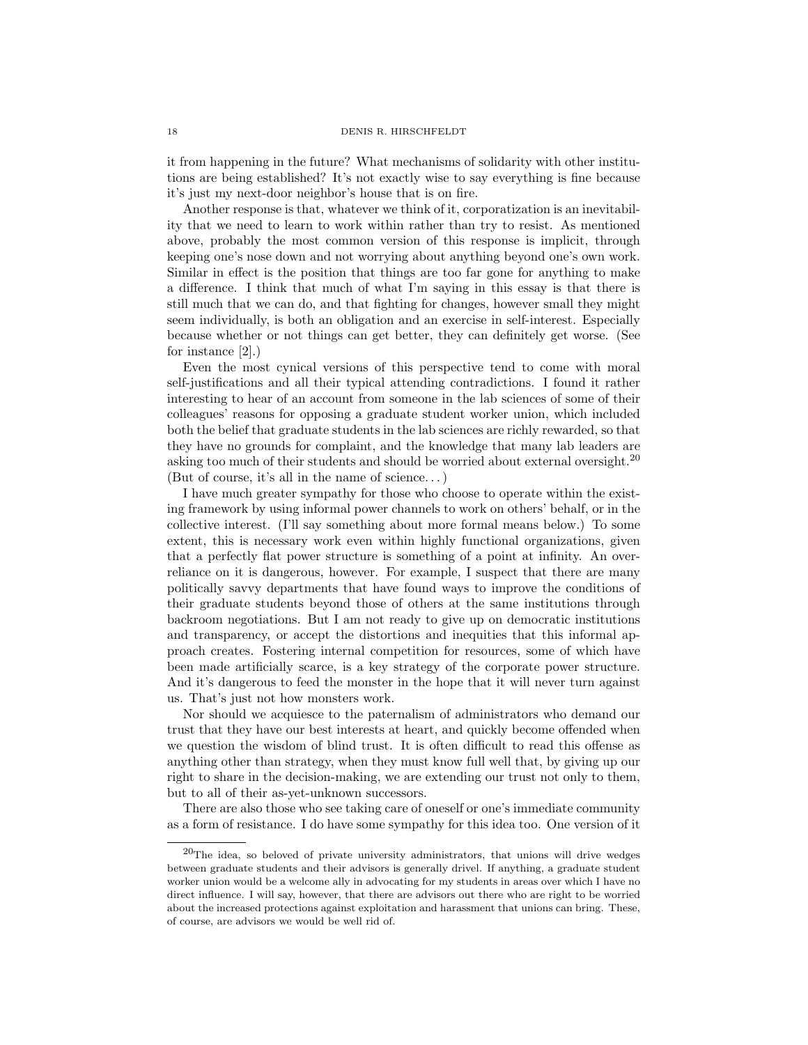it from happening in the future? What mechanisms of solidarity with other institutions are being established? It's not exactly wise to say everything is fine because it's just my next-door neighbor's house that is on fire.

Another response is that, whatever we think of it, corporatization is an inevitability that we need to learn to work within rather than try to resist. As mentioned above, probably the most common version of this response is implicit, through keeping one's nose down and not worrying about anything beyond one's own work. Similar in effect is the position that things are too far gone for anything to make a difference. I think that much of what I'm saying in this essay is that there is still much that we can do, and that fighting for changes, however small they might seem individually, is both an obligation and an exercise in self-interest. Especially because whether or not things can get better, they can definitely get worse. (See for instance [2].)

Even the most cynical versions of this perspective tend to come with moral self-justifications and all their typical attending contradictions. I found it rather interesting to hear of an account from someone in the lab sciences of some of their colleagues' reasons for opposing a graduate student worker union, which included both the belief that graduate students in the lab sciences are richly rewarded, so that they have no grounds for complaint, and the knowledge that many lab leaders are asking too much of their students and should be worried about external oversight.<sup>20</sup> (But of course, it's all in the name of science. . . )

I have much greater sympathy for those who choose to operate within the existing framework by using informal power channels to work on others' behalf, or in the collective interest. (I'll say something about more formal means below.) To some extent, this is necessary work even within highly functional organizations, given that a perfectly flat power structure is something of a point at infinity. An overreliance on it is dangerous, however. For example, I suspect that there are many politically savvy departments that have found ways to improve the conditions of their graduate students beyond those of others at the same institutions through backroom negotiations. But I am not ready to give up on democratic institutions and transparency, or accept the distortions and inequities that this informal approach creates. Fostering internal competition for resources, some of which have been made artificially scarce, is a key strategy of the corporate power structure. And it's dangerous to feed the monster in the hope that it will never turn against us. That's just not how monsters work.

Nor should we acquiesce to the paternalism of administrators who demand our trust that they have our best interests at heart, and quickly become offended when we question the wisdom of blind trust. It is often difficult to read this offense as anything other than strategy, when they must know full well that, by giving up our right to share in the decision-making, we are extending our trust not only to them, but to all of their as-yet-unknown successors.

There are also those who see taking care of oneself or one's immediate community as a form of resistance. I do have some sympathy for this idea too. One version of it

<sup>20</sup>The idea, so beloved of private university administrators, that unions will drive wedges between graduate students and their advisors is generally drivel. If anything, a graduate student worker union would be a welcome ally in advocating for my students in areas over which I have no direct influence. I will say, however, that there are advisors out there who are right to be worried about the increased protections against exploitation and harassment that unions can bring. These, of course, are advisors we would be well rid of.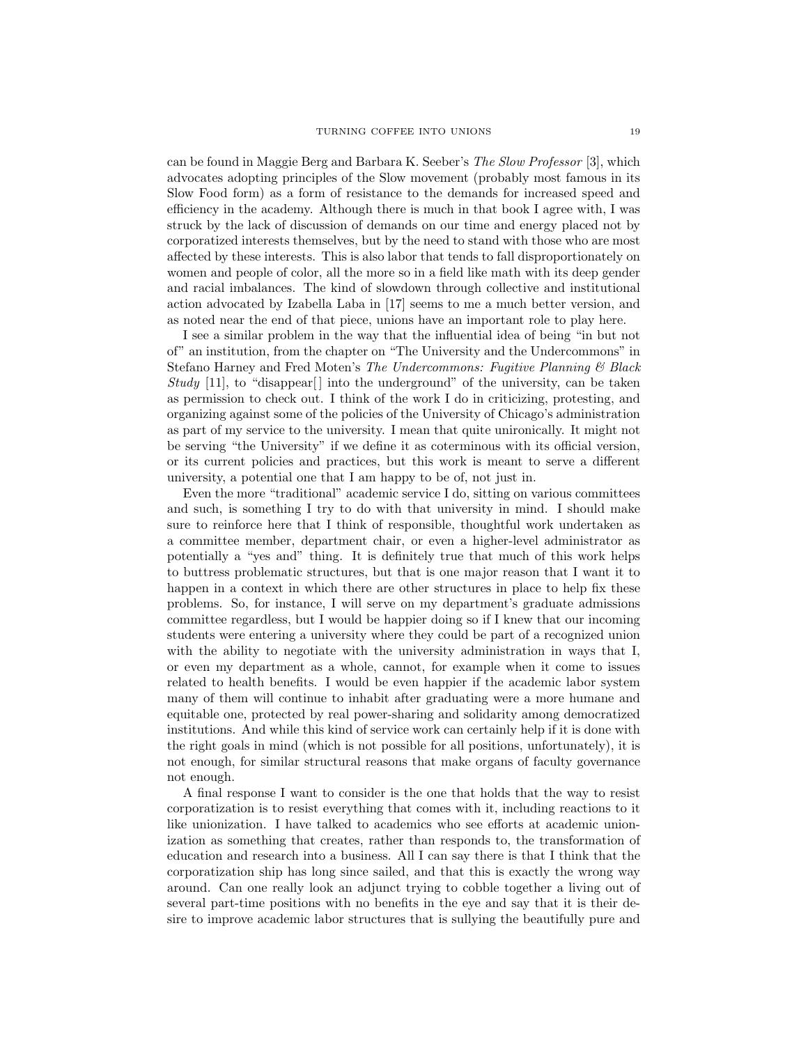can be found in Maggie Berg and Barbara K. Seeber's The Slow Professor [3], which advocates adopting principles of the Slow movement (probably most famous in its Slow Food form) as a form of resistance to the demands for increased speed and efficiency in the academy. Although there is much in that book I agree with, I was struck by the lack of discussion of demands on our time and energy placed not by corporatized interests themselves, but by the need to stand with those who are most affected by these interests. This is also labor that tends to fall disproportionately on women and people of color, all the more so in a field like math with its deep gender and racial imbalances. The kind of slowdown through collective and institutional action advocated by Izabella Laba in [17] seems to me a much better version, and as noted near the end of that piece, unions have an important role to play here.

I see a similar problem in the way that the influential idea of being "in but not of" an institution, from the chapter on "The University and the Undercommons" in Stefano Harney and Fred Moten's The Undercommons: Fugitive Planning & Black Study [11], to "disappear" into the underground" of the university, can be taken as permission to check out. I think of the work I do in criticizing, protesting, and organizing against some of the policies of the University of Chicago's administration as part of my service to the university. I mean that quite unironically. It might not be serving "the University" if we define it as coterminous with its official version, or its current policies and practices, but this work is meant to serve a different university, a potential one that I am happy to be of, not just in.

Even the more "traditional" academic service I do, sitting on various committees and such, is something I try to do with that university in mind. I should make sure to reinforce here that I think of responsible, thoughtful work undertaken as a committee member, department chair, or even a higher-level administrator as potentially a "yes and" thing. It is definitely true that much of this work helps to buttress problematic structures, but that is one major reason that I want it to happen in a context in which there are other structures in place to help fix these problems. So, for instance, I will serve on my department's graduate admissions committee regardless, but I would be happier doing so if I knew that our incoming students were entering a university where they could be part of a recognized union with the ability to negotiate with the university administration in ways that I, or even my department as a whole, cannot, for example when it come to issues related to health benefits. I would be even happier if the academic labor system many of them will continue to inhabit after graduating were a more humane and equitable one, protected by real power-sharing and solidarity among democratized institutions. And while this kind of service work can certainly help if it is done with the right goals in mind (which is not possible for all positions, unfortunately), it is not enough, for similar structural reasons that make organs of faculty governance not enough.

A final response I want to consider is the one that holds that the way to resist corporatization is to resist everything that comes with it, including reactions to it like unionization. I have talked to academics who see efforts at academic unionization as something that creates, rather than responds to, the transformation of education and research into a business. All I can say there is that I think that the corporatization ship has long since sailed, and that this is exactly the wrong way around. Can one really look an adjunct trying to cobble together a living out of several part-time positions with no benefits in the eye and say that it is their desire to improve academic labor structures that is sullying the beautifully pure and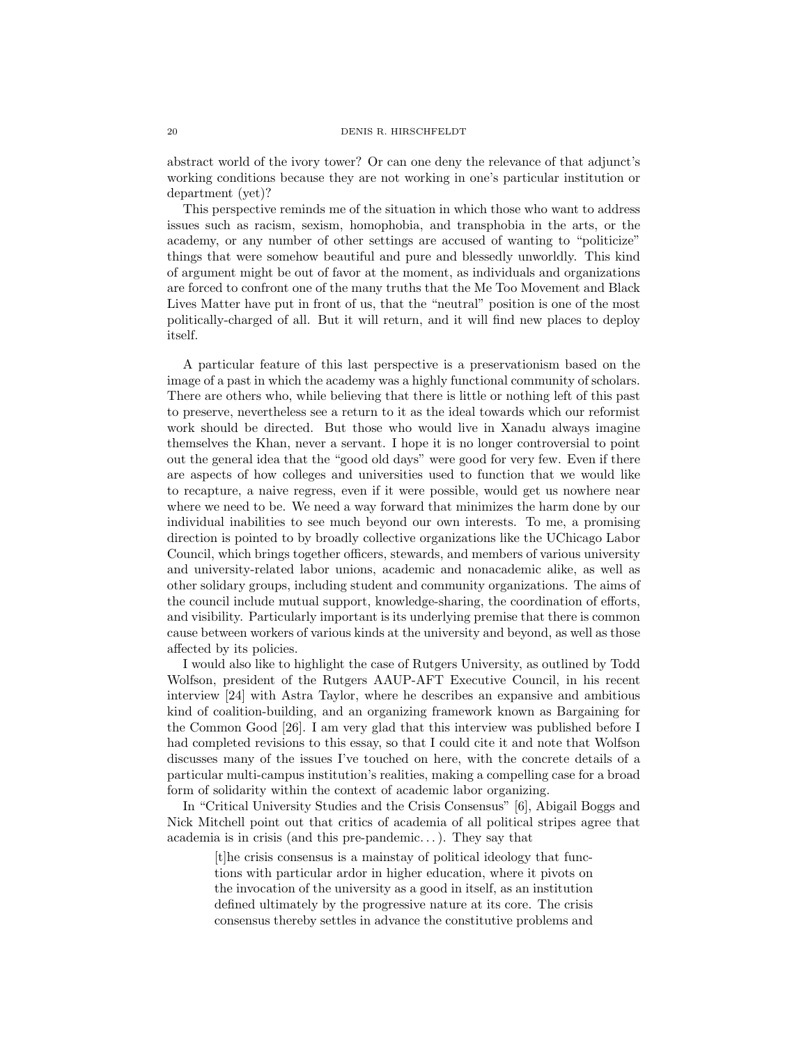abstract world of the ivory tower? Or can one deny the relevance of that adjunct's working conditions because they are not working in one's particular institution or department (yet)?

This perspective reminds me of the situation in which those who want to address issues such as racism, sexism, homophobia, and transphobia in the arts, or the academy, or any number of other settings are accused of wanting to "politicize" things that were somehow beautiful and pure and blessedly unworldly. This kind of argument might be out of favor at the moment, as individuals and organizations are forced to confront one of the many truths that the Me Too Movement and Black Lives Matter have put in front of us, that the "neutral" position is one of the most politically-charged of all. But it will return, and it will find new places to deploy itself.

A particular feature of this last perspective is a preservationism based on the image of a past in which the academy was a highly functional community of scholars. There are others who, while believing that there is little or nothing left of this past to preserve, nevertheless see a return to it as the ideal towards which our reformist work should be directed. But those who would live in Xanadu always imagine themselves the Khan, never a servant. I hope it is no longer controversial to point out the general idea that the "good old days" were good for very few. Even if there are aspects of how colleges and universities used to function that we would like to recapture, a naive regress, even if it were possible, would get us nowhere near where we need to be. We need a way forward that minimizes the harm done by our individual inabilities to see much beyond our own interests. To me, a promising direction is pointed to by broadly collective organizations like the UChicago Labor Council, which brings together officers, stewards, and members of various university and university-related labor unions, academic and nonacademic alike, as well as other solidary groups, including student and community organizations. The aims of the council include mutual support, knowledge-sharing, the coordination of efforts, and visibility. Particularly important is its underlying premise that there is common cause between workers of various kinds at the university and beyond, as well as those affected by its policies.

I would also like to highlight the case of Rutgers University, as outlined by Todd Wolfson, president of the Rutgers AAUP-AFT Executive Council, in his recent interview [24] with Astra Taylor, where he describes an expansive and ambitious kind of coalition-building, and an organizing framework known as Bargaining for the Common Good [26]. I am very glad that this interview was published before I had completed revisions to this essay, so that I could cite it and note that Wolfson discusses many of the issues I've touched on here, with the concrete details of a particular multi-campus institution's realities, making a compelling case for a broad form of solidarity within the context of academic labor organizing.

In "Critical University Studies and the Crisis Consensus" [6], Abigail Boggs and Nick Mitchell point out that critics of academia of all political stripes agree that academia is in crisis (and this pre-pandemic...). They say that

[t]he crisis consensus is a mainstay of political ideology that functions with particular ardor in higher education, where it pivots on the invocation of the university as a good in itself, as an institution defined ultimately by the progressive nature at its core. The crisis consensus thereby settles in advance the constitutive problems and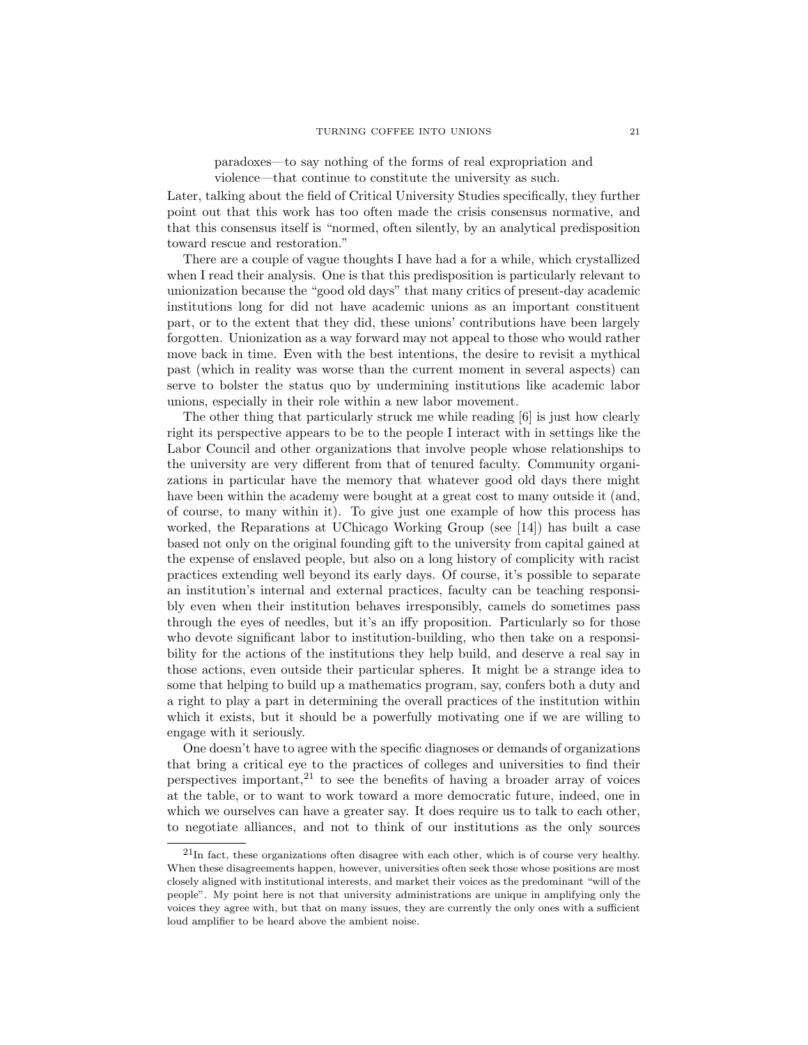paradoxes—to say nothing of the forms of real expropriation and violence—that continue to constitute the university as such.

Later, talking about the field of Critical University Studies specifically, they further point out that this work has too often made the crisis consensus normative, and that this consensus itself is "normed, often silently, by an analytical predisposition toward rescue and restoration."

There are a couple of vague thoughts I have had a for a while, which crystallized when I read their analysis. One is that this predisposition is particularly relevant to unionization because the "good old days" that many critics of present-day academic institutions long for did not have academic unions as an important constituent part, or to the extent that they did, these unions' contributions have been largely forgotten. Unionization as a way forward may not appeal to those who would rather move back in time. Even with the best intentions, the desire to revisit a mythical past (which in reality was worse than the current moment in several aspects) can serve to bolster the status quo by undermining institutions like academic labor unions, especially in their role within a new labor movement.

The other thing that particularly struck me while reading [6] is just how clearly right its perspective appears to be to the people I interact with in settings like the Labor Council and other organizations that involve people whose relationships to the university are very different from that of tenured faculty. Community organizations in particular have the memory that whatever good old days there might have been within the academy were bought at a great cost to many outside it (and, of course, to many within it). To give just one example of how this process has worked, the Reparations at UChicago Working Group (see [14]) has built a case based not only on the original founding gift to the university from capital gained at the expense of enslaved people, but also on a long history of complicity with racist practices extending well beyond its early days. Of course, it's possible to separate an institution's internal and external practices, faculty can be teaching responsibly even when their institution behaves irresponsibly, camels do sometimes pass through the eyes of needles, but it's an iffy proposition. Particularly so for those who devote significant labor to institution-building, who then take on a responsibility for the actions of the institutions they help build, and deserve a real say in those actions, even outside their particular spheres. It might be a strange idea to some that helping to build up a mathematics program, say, confers both a duty and a right to play a part in determining the overall practices of the institution within which it exists, but it should be a powerfully motivating one if we are willing to engage with it seriously.

One doesn't have to agree with the specific diagnoses or demands of organizations that bring a critical eye to the practices of colleges and universities to find their perspectives important, $2<sup>1</sup>$  to see the benefits of having a broader array of voices at the table, or to want to work toward a more democratic future, indeed, one in which we ourselves can have a greater say. It does require us to talk to each other, to negotiate alliances, and not to think of our institutions as the only sources

 $^{21}$ In fact, these organizations often disagree with each other, which is of course very healthy. When these disagreements happen, however, universities often seek those whose positions are most closely aligned with institutional interests, and market their voices as the predominant "will of the people". My point here is not that university administrations are unique in amplifying only the voices they agree with, but that on many issues, they are currently the only ones with a sufficient loud amplifier to be heard above the ambient noise.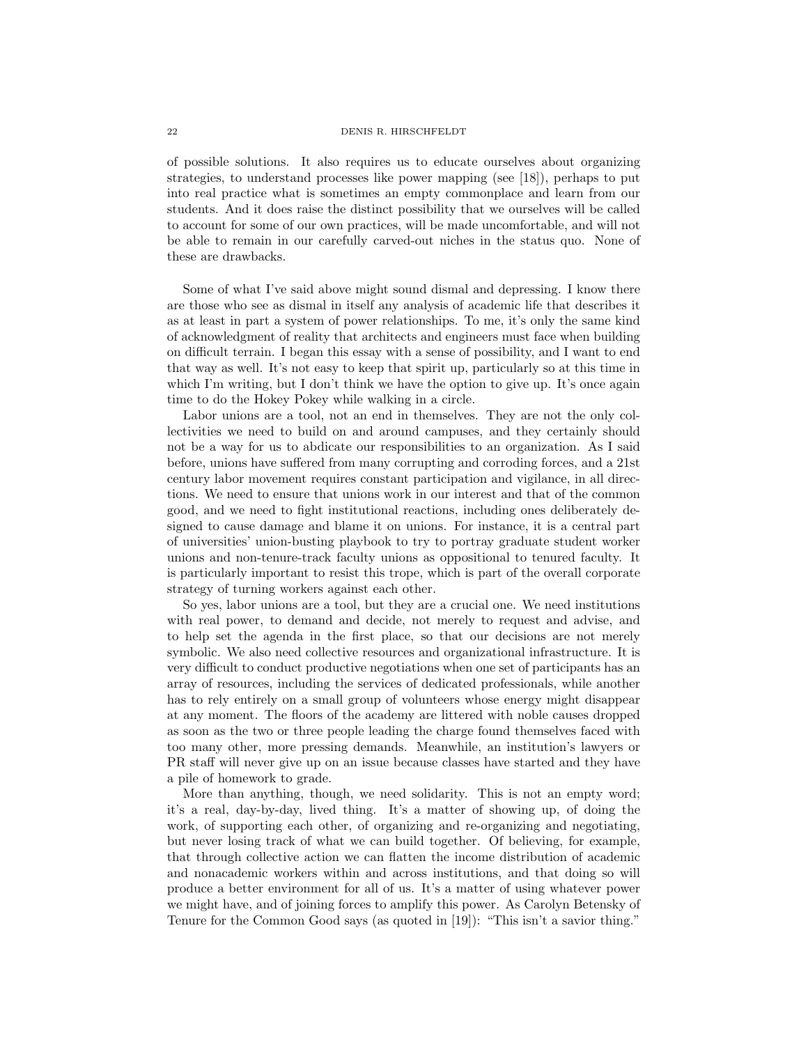of possible solutions. It also requires us to educate ourselves about organizing strategies, to understand processes like power mapping (see [18]), perhaps to put into real practice what is sometimes an empty commonplace and learn from our students. And it does raise the distinct possibility that we ourselves will be called to account for some of our own practices, will be made uncomfortable, and will not be able to remain in our carefully carved-out niches in the status quo. None of these are drawbacks.

Some of what I've said above might sound dismal and depressing. I know there are those who see as dismal in itself any analysis of academic life that describes it as at least in part a system of power relationships. To me, it's only the same kind of acknowledgment of reality that architects and engineers must face when building on difficult terrain. I began this essay with a sense of possibility, and I want to end that way as well. It's not easy to keep that spirit up, particularly so at this time in which I'm writing, but I don't think we have the option to give up. It's once again time to do the Hokey Pokey while walking in a circle.

Labor unions are a tool, not an end in themselves. They are not the only collectivities we need to build on and around campuses, and they certainly should not be a way for us to abdicate our responsibilities to an organization. As I said before, unions have suffered from many corrupting and corroding forces, and a 21st century labor movement requires constant participation and vigilance, in all directions. We need to ensure that unions work in our interest and that of the common good, and we need to fight institutional reactions, including ones deliberately designed to cause damage and blame it on unions. For instance, it is a central part of universities' union-busting playbook to try to portray graduate student worker unions and non-tenure-track faculty unions as oppositional to tenured faculty. It is particularly important to resist this trope, which is part of the overall corporate strategy of turning workers against each other.

So yes, labor unions are a tool, but they are a crucial one. We need institutions with real power, to demand and decide, not merely to request and advise, and to help set the agenda in the first place, so that our decisions are not merely symbolic. We also need collective resources and organizational infrastructure. It is very difficult to conduct productive negotiations when one set of participants has an array of resources, including the services of dedicated professionals, while another has to rely entirely on a small group of volunteers whose energy might disappear at any moment. The floors of the academy are littered with noble causes dropped as soon as the two or three people leading the charge found themselves faced with too many other, more pressing demands. Meanwhile, an institution's lawyers or PR staff will never give up on an issue because classes have started and they have a pile of homework to grade.

More than anything, though, we need solidarity. This is not an empty word; it's a real, day-by-day, lived thing. It's a matter of showing up, of doing the work, of supporting each other, of organizing and re-organizing and negotiating, but never losing track of what we can build together. Of believing, for example, that through collective action we can flatten the income distribution of academic and nonacademic workers within and across institutions, and that doing so will produce a better environment for all of us. It's a matter of using whatever power we might have, and of joining forces to amplify this power. As Carolyn Betensky of Tenure for the Common Good says (as quoted in [19]): "This isn't a savior thing."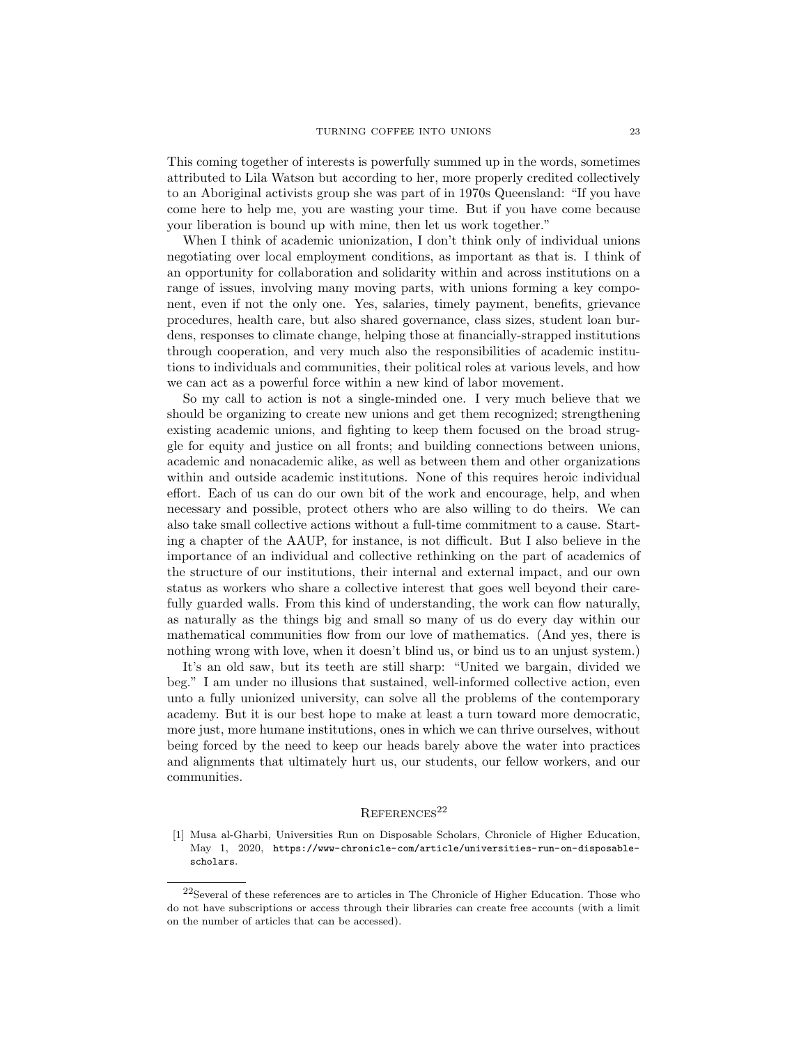This coming together of interests is powerfully summed up in the words, sometimes attributed to Lila Watson but according to her, more properly credited collectively to an Aboriginal activists group she was part of in 1970s Queensland: "If you have come here to help me, you are wasting your time. But if you have come because your liberation is bound up with mine, then let us work together."

When I think of academic unionization, I don't think only of individual unions negotiating over local employment conditions, as important as that is. I think of an opportunity for collaboration and solidarity within and across institutions on a range of issues, involving many moving parts, with unions forming a key component, even if not the only one. Yes, salaries, timely payment, benefits, grievance procedures, health care, but also shared governance, class sizes, student loan burdens, responses to climate change, helping those at financially-strapped institutions through cooperation, and very much also the responsibilities of academic institutions to individuals and communities, their political roles at various levels, and how we can act as a powerful force within a new kind of labor movement.

So my call to action is not a single-minded one. I very much believe that we should be organizing to create new unions and get them recognized; strengthening existing academic unions, and fighting to keep them focused on the broad struggle for equity and justice on all fronts; and building connections between unions, academic and nonacademic alike, as well as between them and other organizations within and outside academic institutions. None of this requires heroic individual effort. Each of us can do our own bit of the work and encourage, help, and when necessary and possible, protect others who are also willing to do theirs. We can also take small collective actions without a full-time commitment to a cause. Starting a chapter of the AAUP, for instance, is not difficult. But I also believe in the importance of an individual and collective rethinking on the part of academics of the structure of our institutions, their internal and external impact, and our own status as workers who share a collective interest that goes well beyond their carefully guarded walls. From this kind of understanding, the work can flow naturally, as naturally as the things big and small so many of us do every day within our mathematical communities flow from our love of mathematics. (And yes, there is nothing wrong with love, when it doesn't blind us, or bind us to an unjust system.)

It's an old saw, but its teeth are still sharp: "United we bargain, divided we beg." I am under no illusions that sustained, well-informed collective action, even unto a fully unionized university, can solve all the problems of the contemporary academy. But it is our best hope to make at least a turn toward more democratic, more just, more humane institutions, ones in which we can thrive ourselves, without being forced by the need to keep our heads barely above the water into practices and alignments that ultimately hurt us, our students, our fellow workers, and our communities.

# $REFERENCES<sup>22</sup>$

[1] Musa al-Gharbi, Universities Run on Disposable Scholars, Chronicle of Higher Education, May 1, 2020, https://www-chronicle-com/article/universities-run-on-disposablescholars.

<sup>22</sup>Several of these references are to articles in The Chronicle of Higher Education. Those who do not have subscriptions or access through their libraries can create free accounts (with a limit on the number of articles that can be accessed).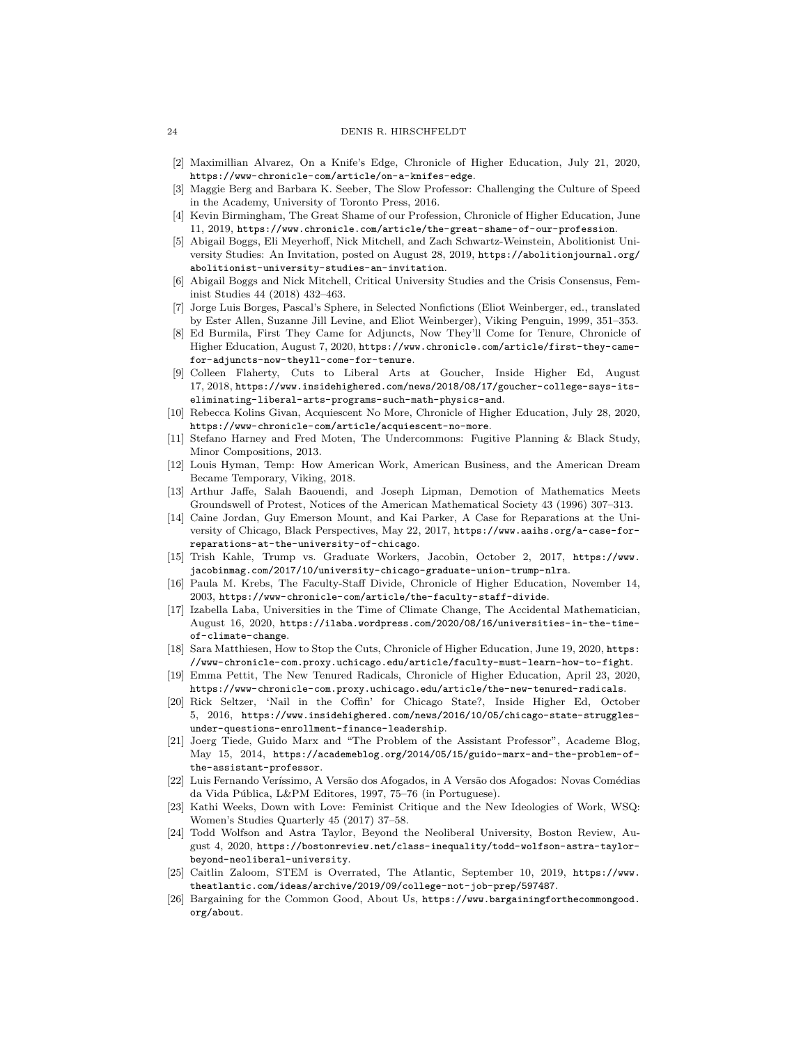- [2] Maximillian Alvarez, On a Knife's Edge, Chronicle of Higher Education, July 21, 2020, https://www-chronicle-com/article/on-a-knifes-edge.
- [3] Maggie Berg and Barbara K. Seeber, The Slow Professor: Challenging the Culture of Speed in the Academy, University of Toronto Press, 2016.
- [4] Kevin Birmingham, The Great Shame of our Profession, Chronicle of Higher Education, June 11, 2019, https://www.chronicle.com/article/the-great-shame-of-our-profession.
- [5] Abigail Boggs, Eli Meyerhoff, Nick Mitchell, and Zach Schwartz-Weinstein, Abolitionist University Studies: An Invitation, posted on August 28, 2019, https://abolitionjournal.org/ abolitionist-university-studies-an-invitation.
- [6] Abigail Boggs and Nick Mitchell, Critical University Studies and the Crisis Consensus, Feminist Studies 44 (2018) 432–463.
- [7] Jorge Luis Borges, Pascal's Sphere, in Selected Nonfictions (Eliot Weinberger, ed., translated by Ester Allen, Suzanne Jill Levine, and Eliot Weinberger), Viking Penguin, 1999, 351–353.
- [8] Ed Burmila, First They Came for Adjuncts, Now They'll Come for Tenure, Chronicle of Higher Education, August 7, 2020, https://www.chronicle.com/article/first-they-camefor-adjuncts-now-theyll-come-for-tenure.
- [9] Colleen Flaherty, Cuts to Liberal Arts at Goucher, Inside Higher Ed, August 17, 2018, https://www.insidehighered.com/news/2018/08/17/goucher-college-says-itseliminating-liberal-arts-programs-such-math-physics-and.
- [10] Rebecca Kolins Givan, Acquiescent No More, Chronicle of Higher Education, July 28, 2020, https://www-chronicle-com/article/acquiescent-no-more.
- [11] Stefano Harney and Fred Moten, The Undercommons: Fugitive Planning & Black Study, Minor Compositions, 2013.
- [12] Louis Hyman, Temp: How American Work, American Business, and the American Dream Became Temporary, Viking, 2018.
- [13] Arthur Jaffe, Salah Baouendi, and Joseph Lipman, Demotion of Mathematics Meets Groundswell of Protest, Notices of the American Mathematical Society 43 (1996) 307–313.
- [14] Caine Jordan, Guy Emerson Mount, and Kai Parker, A Case for Reparations at the University of Chicago, Black Perspectives, May 22, 2017, https://www.aaihs.org/a-case-forreparations-at-the-university-of-chicago.
- [15] Trish Kahle, Trump vs. Graduate Workers, Jacobin, October 2, 2017, https://www. jacobinmag.com/2017/10/university-chicago-graduate-union-trump-nlra.
- [16] Paula M. Krebs, The Faculty-Staff Divide, Chronicle of Higher Education, November 14, 2003, https://www-chronicle-com/article/the-faculty-staff-divide.
- [17] Izabella Laba, Universities in the Time of Climate Change, The Accidental Mathematician, August 16, 2020, https://ilaba.wordpress.com/2020/08/16/universities-in-the-timeof-climate-change.
- [18] Sara Matthiesen, How to Stop the Cuts, Chronicle of Higher Education, June 19, 2020, https: //www-chronicle-com.proxy.uchicago.edu/article/faculty-must-learn-how-to-fight.
- [19] Emma Pettit, The New Tenured Radicals, Chronicle of Higher Education, April 23, 2020, https://www-chronicle-com.proxy.uchicago.edu/article/the-new-tenured-radicals.
- [20] Rick Seltzer, 'Nail in the Coffin' for Chicago State?, Inside Higher Ed, October 5, 2016, https://www.insidehighered.com/news/2016/10/05/chicago-state-strugglesunder-questions-enrollment-finance-leadership.
- [21] Joerg Tiede, Guido Marx and "The Problem of the Assistant Professor", Academe Blog, May 15, 2014, https://academeblog.org/2014/05/15/guido-marx-and-the-problem-ofthe-assistant-professor.
- [22] Luis Fernando Veríssimo, A Versão dos Afogados, in A Versão dos Afogados: Novas Comédias da Vida Pública, L&PM Editores, 1997, 75–76 (in Portuguese).
- [23] Kathi Weeks, Down with Love: Feminist Critique and the New Ideologies of Work, WSQ: Women's Studies Quarterly 45 (2017) 37–58.
- [24] Todd Wolfson and Astra Taylor, Beyond the Neoliberal University, Boston Review, August 4, 2020, https://bostonreview.net/class-inequality/todd-wolfson-astra-taylorbeyond-neoliberal-university.
- [25] Caitlin Zaloom, STEM is Overrated, The Atlantic, September 10, 2019, https://www. theatlantic.com/ideas/archive/2019/09/college-not-job-prep/597487.
- [26] Bargaining for the Common Good, About Us, https://www.bargainingforthecommongood. org/about.